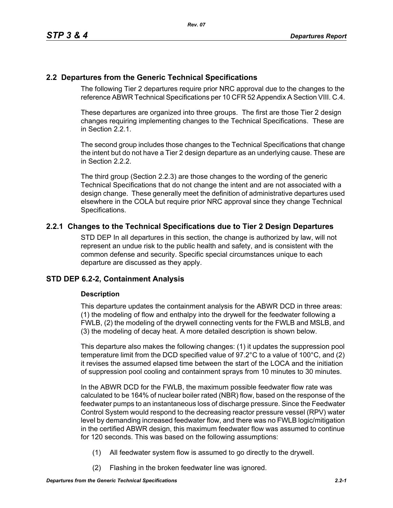# **2.2 Departures from the Generic Technical Specifications**

The following Tier 2 departures require prior NRC approval due to the changes to the reference ABWR Technical Specifications per 10 CFR 52 Appendix A Section VIII. C.4.

These departures are organized into three groups. The first are those Tier 2 design changes requiring implementing changes to the Technical Specifications. These are in Section 2.2.1.

The second group includes those changes to the Technical Specifications that change the intent but do not have a Tier 2 design departure as an underlying cause. These are in Section 2.2.2.

The third group (Section 2.2.3) are those changes to the wording of the generic Technical Specifications that do not change the intent and are not associated with a design change. These generally meet the definition of administrative departures used elsewhere in the COLA but require prior NRC approval since they change Technical Specifications.

# **2.2.1 Changes to the Technical Specifications due to Tier 2 Design Departures**

STD DEP In all departures in this section, the change is authorized by law, will not represent an undue risk to the public health and safety, and is consistent with the common defense and security. Specific special circumstances unique to each departure are discussed as they apply.

# **STD DEP 6.2-2, Containment Analysis**

## **Description**

This departure updates the containment analysis for the ABWR DCD in three areas: (1) the modeling of flow and enthalpy into the drywell for the feedwater following a FWLB, (2) the modeling of the drywell connecting vents for the FWLB and MSLB, and (3) the modeling of decay heat. A more detailed description is shown below.

This departure also makes the following changes: (1) it updates the suppression pool temperature limit from the DCD specified value of 97.2°C to a value of 100°C, and (2) it revises the assumed elapsed time between the start of the LOCA and the initiation of suppression pool cooling and containment sprays from 10 minutes to 30 minutes.

In the ABWR DCD for the FWLB, the maximum possible feedwater flow rate was calculated to be 164% of nuclear boiler rated (NBR) flow, based on the response of the feedwater pumps to an instantaneous loss of discharge pressure. Since the Feedwater Control System would respond to the decreasing reactor pressure vessel (RPV) water level by demanding increased feedwater flow, and there was no FWLB logic/mitigation in the certified ABWR design, this maximum feedwater flow was assumed to continue for 120 seconds. This was based on the following assumptions:

- (1) All feedwater system flow is assumed to go directly to the drywell.
- (2) Flashing in the broken feedwater line was ignored.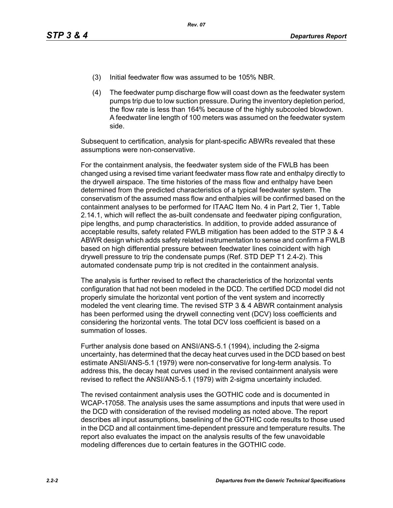- (3) Initial feedwater flow was assumed to be 105% NBR.
- (4) The feedwater pump discharge flow will coast down as the feedwater system pumps trip due to low suction pressure. During the inventory depletion period, the flow rate is less than 164% because of the highly subcooled blowdown. A feedwater line length of 100 meters was assumed on the feedwater system side.

Subsequent to certification, analysis for plant-specific ABWRs revealed that these assumptions were non-conservative.

For the containment analysis, the feedwater system side of the FWLB has been changed using a revised time variant feedwater mass flow rate and enthalpy directly to the drywell airspace. The time histories of the mass flow and enthalpy have been determined from the predicted characteristics of a typical feedwater system. The conservatism of the assumed mass flow and enthalpies will be confirmed based on the containment analyses to be performed for ITAAC Item No. 4 in Part 2, Tier 1, Table 2.14.1, which will reflect the as-built condensate and feedwater piping configuration, pipe lengths, and pump characteristics. In addition, to provide added assurance of acceptable results, safety related FWLB mitigation has been added to the STP 3 & 4 ABWR design which adds safety related instrumentation to sense and confirm a FWLB based on high differential pressure between feedwater lines coincident with high drywell pressure to trip the condensate pumps (Ref. STD DEP T1 2.4-2). This automated condensate pump trip is not credited in the containment analysis.

The analysis is further revised to reflect the characteristics of the horizontal vents configuration that had not been modeled in the DCD. The certified DCD model did not properly simulate the horizontal vent portion of the vent system and incorrectly modeled the vent clearing time. The revised STP 3 & 4 ABWR containment analysis has been performed using the drywell connecting vent (DCV) loss coefficients and considering the horizontal vents. The total DCV loss coefficient is based on a summation of losses.

Further analysis done based on ANSI/ANS-5.1 (1994), including the 2-sigma uncertainty, has determined that the decay heat curves used in the DCD based on best estimate ANSI/ANS-5.1 (1979) were non-conservative for long-term analysis. To address this, the decay heat curves used in the revised containment analysis were revised to reflect the ANSI/ANS-5.1 (1979) with 2-sigma uncertainty included.

The revised containment analysis uses the GOTHIC code and is documented in WCAP-17058. The analysis uses the same assumptions and inputs that were used in the DCD with consideration of the revised modeling as noted above. The report describes all input assumptions, baselining of the GOTHIC code results to those used in the DCD and all containment time-dependent pressure and temperature results. The report also evaluates the impact on the analysis results of the few unavoidable modeling differences due to certain features in the GOTHIC code.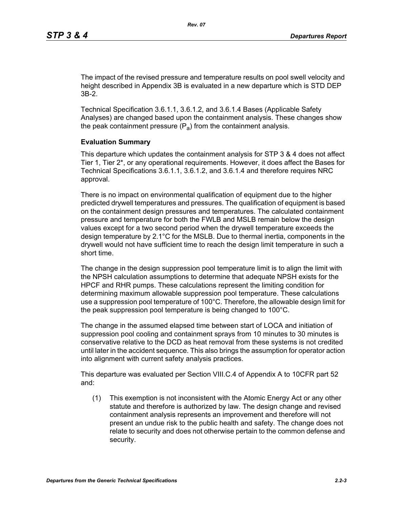The impact of the revised pressure and temperature results on pool swell velocity and height described in Appendix 3B is evaluated in a new departure which is STD DEP 3B-2.

Technical Specification 3.6.1.1, 3.6.1.2, and 3.6.1.4 Bases (Applicable Safety Analyses) are changed based upon the containment analysis. These changes show the peak containment pressure  $(P_a)$  from the containment analysis.

#### **Evaluation Summary**

This departure which updates the containment analysis for STP 3 & 4 does not affect Tier 1, Tier 2\*, or any operational requirements. However, it does affect the Bases for Technical Specifications 3.6.1.1, 3.6.1.2, and 3.6.1.4 and therefore requires NRC approval.

There is no impact on environmental qualification of equipment due to the higher predicted drywell temperatures and pressures. The qualification of equipment is based on the containment design pressures and temperatures. The calculated containment pressure and temperature for both the FWLB and MSLB remain below the design values except for a two second period when the drywell temperature exceeds the design temperature by 2.1°C for the MSLB. Due to thermal inertia, components in the drywell would not have sufficient time to reach the design limit temperature in such a short time.

The change in the design suppression pool temperature limit is to align the limit with the NPSH calculation assumptions to determine that adequate NPSH exists for the HPCF and RHR pumps. These calculations represent the limiting condition for determining maximum allowable suppression pool temperature. These calculations use a suppression pool temperature of 100°C. Therefore, the allowable design limit for the peak suppression pool temperature is being changed to 100°C.

The change in the assumed elapsed time between start of LOCA and initiation of suppression pool cooling and containment sprays from 10 minutes to 30 minutes is conservative relative to the DCD as heat removal from these systems is not credited until later in the accident sequence. This also brings the assumption for operator action into alignment with current safety analysis practices.

This departure was evaluated per Section VIII.C.4 of Appendix A to 10CFR part 52 and:

(1) This exemption is not inconsistent with the Atomic Energy Act or any other statute and therefore is authorized by law. The design change and revised containment analysis represents an improvement and therefore will not present an undue risk to the public health and safety. The change does not relate to security and does not otherwise pertain to the common defense and security.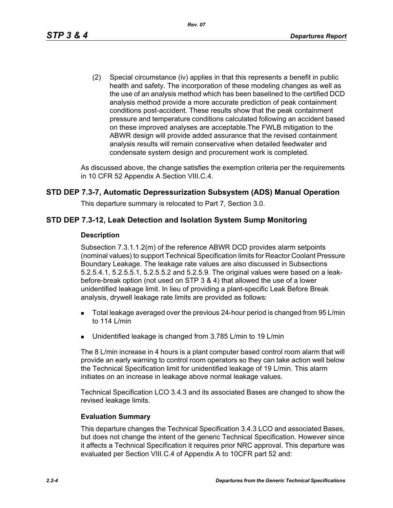(2) Special circumstance (iv) applies in that this represents a benefit in public health and safety. The incorporation of these modeling changes as well as the use of an analysis method which has been baselined to the certified DCD analysis method provide a more accurate prediction of peak containment conditions post-accident. These results show that the peak containment pressure and temperature conditions calculated following an accident based on these improved analyses are acceptable.The FWLB mitigation to the ABWR design will provide added assurance that the revised containment analysis results will remain conservative when detailed feedwater and condensate system design and procurement work is completed.

As discussed above, the change satisfies the exemption criteria per the requirements in 10 CFR 52 Appendix A Section VIII.C.4.

## **STD DEP 7.3-7, Automatic Depressurization Subsystem (ADS) Manual Operation**

This departure summary is relocated to Part 7, Section 3.0.

## **STD DEP 7.3-12, Leak Detection and Isolation System Sump Monitoring**

#### **Description**

Subsection 7.3.1.1.2(m) of the reference ABWR DCD provides alarm setpoints (nominal values) to support Technical Specification limits for Reactor Coolant Pressure Boundary Leakage. The leakage rate values are also discussed in Subsections 5.2.5.4.1, 5.2.5.5.1, 5.2.5.5.2 and 5.2.5.9. The original values were based on a leakbefore-break option (not used on STP 3 & 4) that allowed the use of a lower unidentified leakage limit. In lieu of providing a plant-specific Leak Before Break analysis, drywell leakage rate limits are provided as follows:

- **Total leakage averaged over the previous 24-hour period is changed from 95 L/min** to 114 L/min
- Unidentified leakage is changed from 3.785 L/min to 19 L/min

The 8 L/min increase in 4 hours is a plant computer based control room alarm that will provide an early warning to control room operators so they can take action well below the Technical Specification limit for unidentified leakage of 19 L/min. This alarm initiates on an increase in leakage above normal leakage values.

Technical Specification LCO 3.4.3 and its associated Bases are changed to show the revised leakage limits.

#### **Evaluation Summary**

This departure changes the Technical Specification 3.4.3 LCO and associated Bases, but does not change the intent of the generic Technical Specification. However since it affects a Technical Specification it requires prior NRC approval. This departure was evaluated per Section VIII.C.4 of Appendix A to 10CFR part 52 and: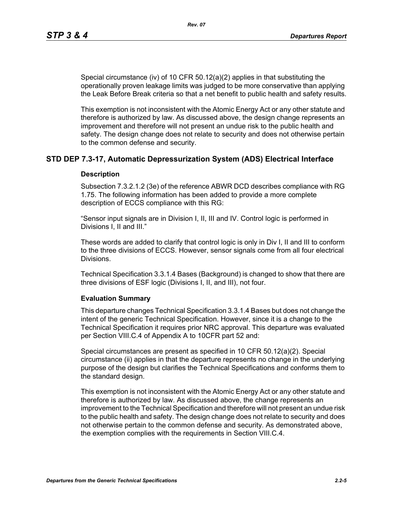Special circumstance (iv) of 10 CFR 50.12(a)(2) applies in that substituting the operationally proven leakage limits was judged to be more conservative than applying the Leak Before Break criteria so that a net benefit to public health and safety results.

This exemption is not inconsistent with the Atomic Energy Act or any other statute and therefore is authorized by law. As discussed above, the design change represents an improvement and therefore will not present an undue risk to the public health and safety. The design change does not relate to security and does not otherwise pertain to the common defense and security.

## **STD DEP 7.3-17, Automatic Depressurization System (ADS) Electrical Interface**

#### **Description**

Subsection 7.3.2.1.2 (3e) of the reference ABWR DCD describes compliance with RG 1.75. The following information has been added to provide a more complete description of ECCS compliance with this RG:

"Sensor input signals are in Division I, II, III and IV. Control logic is performed in Divisions I, II and III."

These words are added to clarify that control logic is only in Div I, II and III to conform to the three divisions of ECCS. However, sensor signals come from all four electrical Divisions.

Technical Specification 3.3.1.4 Bases (Background) is changed to show that there are three divisions of ESF logic (Divisions I, II, and III), not four.

#### **Evaluation Summary**

This departure changes Technical Specification 3.3.1.4 Bases but does not change the intent of the generic Technical Specification. However, since it is a change to the Technical Specification it requires prior NRC approval. This departure was evaluated per Section VIII.C.4 of Appendix A to 10CFR part 52 and:

Special circumstances are present as specified in 10 CFR 50.12(a)(2). Special circumstance (ii) applies in that the departure represents no change in the underlying purpose of the design but clarifies the Technical Specifications and conforms them to the standard design.

This exemption is not inconsistent with the Atomic Energy Act or any other statute and therefore is authorized by law. As discussed above, the change represents an improvement to the Technical Specification and therefore will not present an undue risk to the public health and safety. The design change does not relate to security and does not otherwise pertain to the common defense and security. As demonstrated above, the exemption complies with the requirements in Section VIII.C.4.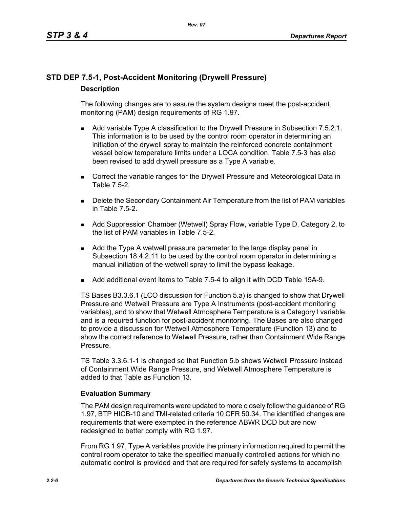# **STD DEP 7.5-1, Post-Accident Monitoring (Drywell Pressure) Description**

The following changes are to assure the system designs meet the post-accident monitoring (PAM) design requirements of RG 1.97.

- **Add variable Type A classification to the Drywell Pressure in Subsection 7.5.2.1.** This information is to be used by the control room operator in determining an initiation of the drywell spray to maintain the reinforced concrete containment vessel below temperature limits under a LOCA condition. Table 7.5-3 has also been revised to add drywell pressure as a Type A variable.
- **Correct the variable ranges for the Drywell Pressure and Meteorological Data in** Table 7.5-2.
- **Delete the Secondary Containment Air Temperature from the list of PAM variables** in Table 7.5-2.
- Add Suppression Chamber (Wetwell) Spray Flow, variable Type D. Category 2, to the list of PAM variables in Table 7.5-2.
- Add the Type A wetwell pressure parameter to the large display panel in Subsection 18.4.2.11 to be used by the control room operator in determining a manual initiation of the wetwell spray to limit the bypass leakage.
- Add additional event items to Table 7.5-4 to align it with DCD Table 15A-9.

TS Bases B3.3.6.1 (LCO discussion for Function 5.a) is changed to show that Drywell Pressure and Wetwell Pressure are Type A Instruments (post-accident monitoring variables), and to show that Wetwell Atmosphere Temperature is a Category I variable and is a required function for post-accident monitoring. The Bases are also changed to provide a discussion for Wetwell Atmosphere Temperature (Function 13) and to show the correct reference to Wetwell Pressure, rather than Containment Wide Range Pressure.

TS Table 3.3.6.1-1 is changed so that Function 5.b shows Wetwell Pressure instead of Containment Wide Range Pressure, and Wetwell Atmosphere Temperature is added to that Table as Function 13.

## **Evaluation Summary**

The PAM design requirements were updated to more closely follow the guidance of RG 1.97, BTP HICB-10 and TMI-related criteria 10 CFR 50.34. The identified changes are requirements that were exempted in the reference ABWR DCD but are now redesigned to better comply with RG 1.97.

From RG 1.97, Type A variables provide the primary information required to permit the control room operator to take the specified manually controlled actions for which no automatic control is provided and that are required for safety systems to accomplish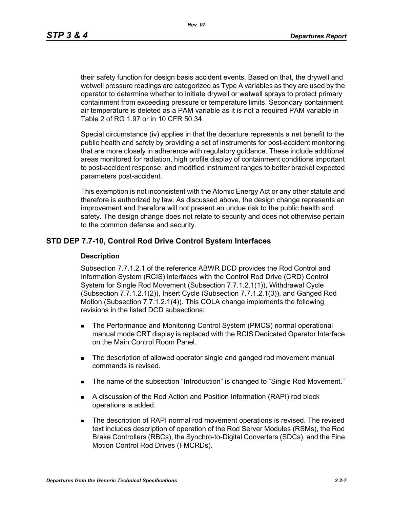*Rev. 07*

their safety function for design basis accident events. Based on that, the drywell and wetwell pressure readings are categorized as Type A variables as they are used by the operator to determine whether to initiate drywell or wetwell sprays to protect primary containment from exceeding pressure or temperature limits. Secondary containment air temperature is deleted as a PAM variable as it is not a required PAM variable in Table 2 of RG 1.97 or in 10 CFR 50.34.

Special circumstance (iv) applies in that the departure represents a net benefit to the public health and safety by providing a set of instruments for post-accident monitoring that are more closely in adherence with regulatory guidance. These include additional areas monitored for radiation, high profile display of containment conditions important to post-accident response, and modified instrument ranges to better bracket expected parameters post-accident.

This exemption is not inconsistent with the Atomic Energy Act or any other statute and therefore is authorized by law. As discussed above, the design change represents an improvement and therefore will not present an undue risk to the public health and safety. The design change does not relate to security and does not otherwise pertain to the common defense and security.

## **STD DEP 7.7-10, Control Rod Drive Control System Interfaces**

#### **Description**

Subsection 7.7.1.2.1 of the reference ABWR DCD provides the Rod Control and Information System (RCIS) interfaces with the Control Rod Drive (CRD) Control System for Single Rod Movement (Subsection 7.7.1.2.1(1)), Withdrawal Cycle (Subsection 7.7.1.2.1(2)), Insert Cycle (Subsection 7.7.1.2.1(3)), and Ganged Rod Motion (Subsection 7.7.1.2.1(4)). This COLA change implements the following revisions in the listed DCD subsections:

- **The Performance and Monitoring Control System (PMCS) normal operational** manual mode CRT display is replaced with the RCIS Dedicated Operator Interface on the Main Control Room Panel.
- The description of allowed operator single and ganged rod movement manual commands is revised.
- The name of the subsection "Introduction" is changed to "Single Rod Movement."
- A discussion of the Rod Action and Position Information (RAPI) rod block operations is added.
- **The description of RAPI normal rod movement operations is revised. The revised** text includes description of operation of the Rod Server Modules (RSMs), the Rod Brake Controllers (RBCs), the Synchro-to-Digital Converters (SDCs), and the Fine Motion Control Rod Drives (FMCRDs).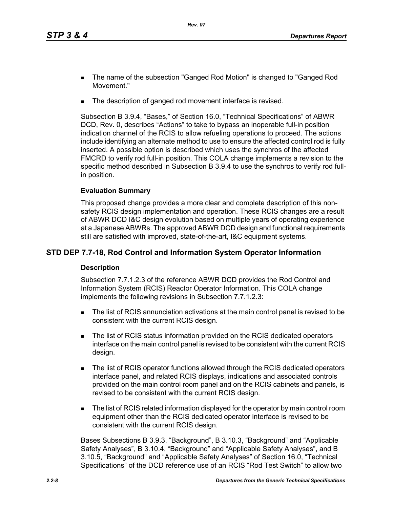- The name of the subsection "Ganged Rod Motion" is changed to "Ganged Rod Movement."
- The description of ganged rod movement interface is revised.

Subsection B 3.9.4, "Bases," of Section 16.0, "Technical Specifications" of ABWR DCD, Rev. 0, describes "Actions" to take to bypass an inoperable full-in position indication channel of the RCIS to allow refueling operations to proceed. The actions include identifying an alternate method to use to ensure the affected control rod is fully inserted. A possible option is described which uses the synchros of the affected FMCRD to verify rod full-in position. This COLA change implements a revision to the specific method described in Subsection B 3.9.4 to use the synchros to verify rod fullin position.

## **Evaluation Summary**

This proposed change provides a more clear and complete description of this nonsafety RCIS design implementation and operation. These RCIS changes are a result of ABWR DCD I&C design evolution based on multiple years of operating experience at a Japanese ABWRs. The approved ABWR DCD design and functional requirements still are satisfied with improved, state-of-the-art, I&C equipment systems.

# **STD DEP 7.7-18, Rod Control and Information System Operator Information**

## **Description**

Subsection 7.7.1.2.3 of the reference ABWR DCD provides the Rod Control and Information System (RCIS) Reactor Operator Information. This COLA change implements the following revisions in Subsection 7.7.1.2.3:

- The list of RCIS annunciation activations at the main control panel is revised to be consistent with the current RCIS design.
- The list of RCIS status information provided on the RCIS dedicated operators interface on the main control panel is revised to be consistent with the current RCIS design.
- The list of RCIS operator functions allowed through the RCIS dedicated operators interface panel, and related RCIS displays, indications and associated controls provided on the main control room panel and on the RCIS cabinets and panels, is revised to be consistent with the current RCIS design.
- The list of RCIS related information displayed for the operator by main control room equipment other than the RCIS dedicated operator interface is revised to be consistent with the current RCIS design.

Bases Subsections B 3.9.3, "Background", B 3.10.3, "Background" and "Applicable Safety Analyses", B 3.10.4, "Background" and "Applicable Safety Analyses", and B 3.10.5, "Background" and "Applicable Safety Analyses" of Section 16.0, "Technical Specifications" of the DCD reference use of an RCIS "Rod Test Switch" to allow two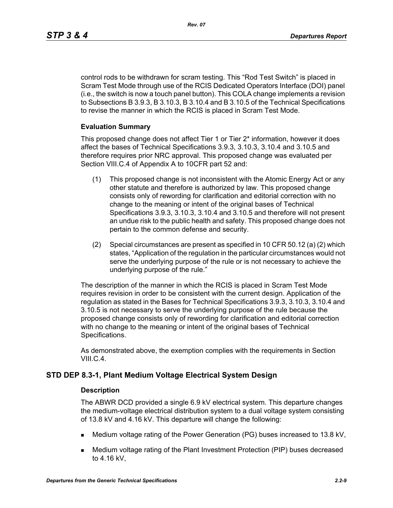*Rev. 07*

control rods to be withdrawn for scram testing. This "Rod Test Switch" is placed in Scram Test Mode through use of the RCIS Dedicated Operators Interface (DOI) panel (i.e., the switch is now a touch panel button). This COLA change implements a revision to Subsections B 3.9.3, B 3.10.3, B 3.10.4 and B 3.10.5 of the Technical Specifications to revise the manner in which the RCIS is placed in Scram Test Mode.

## **Evaluation Summary**

This proposed change does not affect Tier 1 or Tier 2\* information, however it does affect the bases of Technical Specifications 3.9.3, 3.10.3, 3.10.4 and 3.10.5 and therefore requires prior NRC approval. This proposed change was evaluated per Section VIII.C.4 of Appendix A to 10CFR part 52 and:

- (1) This proposed change is not inconsistent with the Atomic Energy Act or any other statute and therefore is authorized by law. This proposed change consists only of rewording for clarification and editorial correction with no change to the meaning or intent of the original bases of Technical Specifications 3.9.3, 3.10.3, 3.10.4 and 3.10.5 and therefore will not present an undue risk to the public health and safety. This proposed change does not pertain to the common defense and security.
- (2) Special circumstances are present as specified in 10 CFR 50.12 (a) (2) which states, "Application of the regulation in the particular circumstances would not serve the underlying purpose of the rule or is not necessary to achieve the underlying purpose of the rule."

The description of the manner in which the RCIS is placed in Scram Test Mode requires revision in order to be consistent with the current design. Application of the regulation as stated in the Bases for Technical Specifications 3.9.3, 3.10.3, 3.10.4 and 3.10.5 is not necessary to serve the underlying purpose of the rule because the proposed change consists only of rewording for clarification and editorial correction with no change to the meaning or intent of the original bases of Technical Specifications.

As demonstrated above, the exemption complies with the requirements in Section VIII.C.4.

# **STD DEP 8.3-1, Plant Medium Voltage Electrical System Design**

## **Description**

The ABWR DCD provided a single 6.9 kV electrical system. This departure changes the medium-voltage electrical distribution system to a dual voltage system consisting of 13.8 kV and 4.16 kV. This departure will change the following:

- Medium voltage rating of the Power Generation (PG) buses increased to 13.8 kV,
- Medium voltage rating of the Plant Investment Protection (PIP) buses decreased to 4.16 kV,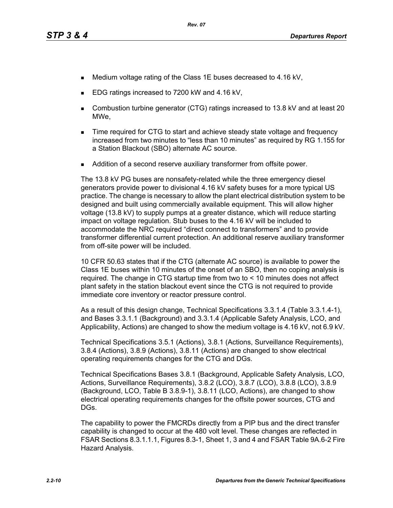- Medium voltage rating of the Class 1E buses decreased to 4.16 kV,
- EDG ratings increased to 7200 kW and 4.16 kV,
- Combustion turbine generator (CTG) ratings increased to 13.8 kV and at least 20 MWe,
- **Time required for CTG to start and achieve steady state voltage and frequency** increased from two minutes to "less than 10 minutes" as required by RG 1.155 for a Station Blackout (SBO) alternate AC source.
- Addition of a second reserve auxiliary transformer from offsite power.

The 13.8 kV PG buses are nonsafety-related while the three emergency diesel generators provide power to divisional 4.16 kV safety buses for a more typical US practice. The change is necessary to allow the plant electrical distribution system to be designed and built using commercially available equipment. This will allow higher voltage (13.8 kV) to supply pumps at a greater distance, which will reduce starting impact on voltage regulation. Stub buses to the 4.16 kV will be included to accommodate the NRC required "direct connect to transformers" and to provide transformer differential current protection. An additional reserve auxiliary transformer from off-site power will be included.

10 CFR 50.63 states that if the CTG (alternate AC source) is available to power the Class 1E buses within 10 minutes of the onset of an SBO, then no coping analysis is required. The change in CTG startup time from two to < 10 minutes does not affect plant safety in the station blackout event since the CTG is not required to provide immediate core inventory or reactor pressure control.

As a result of this design change, Technical Specifications 3.3.1.4 (Table 3.3.1.4-1), and Bases 3.3.1.1 (Background) and 3.3.1.4 (Applicable Safety Analysis, LCO, and Applicability, Actions) are changed to show the medium voltage is 4.16 kV, not 6.9 kV.

Technical Specifications 3.5.1 (Actions), 3.8.1 (Actions, Surveillance Requirements), 3.8.4 (Actions), 3.8.9 (Actions), 3.8.11 (Actions) are changed to show electrical operating requirements changes for the CTG and DGs.

Technical Specifications Bases 3.8.1 (Background, Applicable Safety Analysis, LCO, Actions, Surveillance Requirements), 3.8.2 (LCO), 3.8.7 (LCO), 3.8.8 (LCO), 3.8.9 (Background, LCO, Table B 3.8.9-1), 3.8.11 (LCO, Actions), are changed to show electrical operating requirements changes for the offsite power sources, CTG and DGs.

The capability to power the FMCRDs directly from a PIP bus and the direct transfer capability is changed to occur at the 480 volt level. These changes are reflected in FSAR Sections 8.3.1.1.1, Figures 8.3-1, Sheet 1, 3 and 4 and FSAR Table 9A.6-2 Fire Hazard Analysis.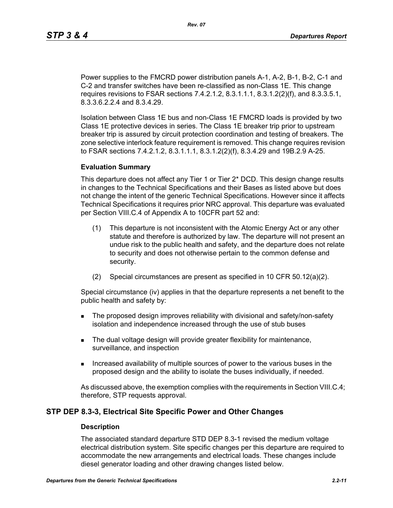Power supplies to the FMCRD power distribution panels A-1, A-2, B-1, B-2, C-1 and C-2 and transfer switches have been re-classified as non-Class 1E. This change requires revisions to FSAR sections 7.4.2.1.2, 8.3.1.1.1, 8.3.1.2(2)(f), and 8.3.3.5.1, 8.3.3.6.2.2.4 and 8.3.4.29.

Isolation between Class 1E bus and non-Class 1E FMCRD loads is provided by two Class 1E protective devices in series. The Class 1E breaker trip prior to upstream breaker trip is assured by circuit protection coordination and testing of breakers. The zone selective interlock feature requirement is removed. This change requires revision to FSAR sections 7.4.2.1.2, 8.3.1.1.1, 8.3.1.2(2)(f), 8.3.4.29 and 19B.2.9 A-25.

#### **Evaluation Summary**

This departure does not affect any Tier 1 or Tier 2\* DCD. This design change results in changes to the Technical Specifications and their Bases as listed above but does not change the intent of the generic Technical Specifications. However since it affects Technical Specifications it requires prior NRC approval. This departure was evaluated per Section VIII.C.4 of Appendix A to 10CFR part 52 and:

- (1) This departure is not inconsistent with the Atomic Energy Act or any other statute and therefore is authorized by law. The departure will not present an undue risk to the public health and safety, and the departure does not relate to security and does not otherwise pertain to the common defense and security.
- (2) Special circumstances are present as specified in 10 CFR 50.12(a)(2).

Special circumstance (iv) applies in that the departure represents a net benefit to the public health and safety by:

- **The proposed design improves reliability with divisional and safety/non-safety** isolation and independence increased through the use of stub buses
- The dual voltage design will provide greater flexibility for maintenance, surveillance, and inspection
- Increased availability of multiple sources of power to the various buses in the proposed design and the ability to isolate the buses individually, if needed.

As discussed above, the exemption complies with the requirements in Section VIII.C.4; therefore, STP requests approval.

#### **STP DEP 8.3-3, Electrical Site Specific Power and Other Changes**

#### **Description**

The associated standard departure STD DEP 8.3-1 revised the medium voltage electrical distribution system. Site specific changes per this departure are required to accommodate the new arrangements and electrical loads. These changes include diesel generator loading and other drawing changes listed below.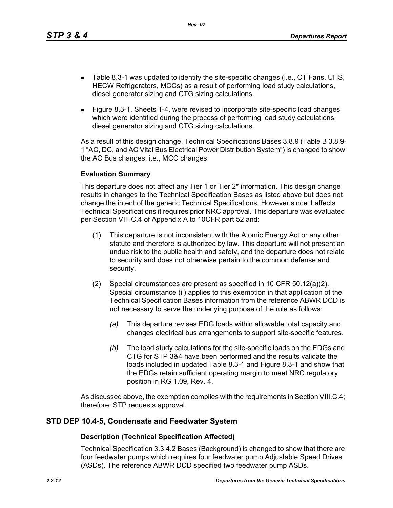*Rev. 07*

- Table 8.3-1 was updated to identify the site-specific changes (i.e., CT Fans, UHS, HECW Refrigerators, MCCs) as a result of performing load study calculations, diesel generator sizing and CTG sizing calculations.
- Figure 8.3-1, Sheets 1-4, were revised to incorporate site-specific load changes which were identified during the process of performing load study calculations, diesel generator sizing and CTG sizing calculations.

As a result of this design change, Technical Specifications Bases 3.8.9 (Table B 3.8.9- 1 "AC, DC, and AC Vital Bus Electrical Power Distribution System") is changed to show the AC Bus changes, i.e., MCC changes.

## **Evaluation Summary**

This departure does not affect any Tier 1 or Tier 2\* information. This design change results in changes to the Technical Specification Bases as listed above but does not change the intent of the generic Technical Specifications. However since it affects Technical Specifications it requires prior NRC approval. This departure was evaluated per Section VIII.C.4 of Appendix A to 10CFR part 52 and:

- (1) This departure is not inconsistent with the Atomic Energy Act or any other statute and therefore is authorized by law. This departure will not present an undue risk to the public health and safety, and the departure does not relate to security and does not otherwise pertain to the common defense and security.
- (2) Special circumstances are present as specified in 10 CFR 50.12(a)(2). Special circumstance (ii) applies to this exemption in that application of the Technical Specification Bases information from the reference ABWR DCD is not necessary to serve the underlying purpose of the rule as follows:
	- *(a)* This departure revises EDG loads within allowable total capacity and changes electrical bus arrangements to support site-specific features.
	- *(b)* The load study calculations for the site-specific loads on the EDGs and CTG for STP 3&4 have been performed and the results validate the loads included in updated Table 8.3-1 and Figure 8.3-1 and show that the EDGs retain sufficient operating margin to meet NRC regulatory position in RG 1.09, Rev. 4.

As discussed above, the exemption complies with the requirements in Section VIII.C.4; therefore, STP requests approval.

# **STD DEP 10.4-5, Condensate and Feedwater System**

## **Description (Technical Specification Affected)**

Technical Specification 3.3.4.2 Bases (Background) is changed to show that there are four feedwater pumps which requires four feedwater pump Adjustable Speed Drives (ASDs). The reference ABWR DCD specified two feedwater pump ASDs.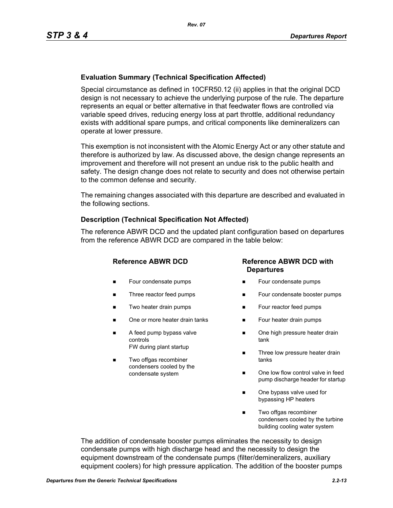## **Evaluation Summary (Technical Specification Affected)**

Special circumstance as defined in 10CFR50.12 (ii) applies in that the original DCD design is not necessary to achieve the underlying purpose of the rule. The departure represents an equal or better alternative in that feedwater flows are controlled via variable speed drives, reducing energy loss at part throttle, additional redundancy exists with additional spare pumps, and critical components like demineralizers can operate at lower pressure.

This exemption is not inconsistent with the Atomic Energy Act or any other statute and therefore is authorized by law. As discussed above, the design change represents an improvement and therefore will not present an undue risk to the public health and safety. The design change does not relate to security and does not otherwise pertain to the common defense and security.

The remaining changes associated with this departure are described and evaluated in the following sections.

#### **Description (Technical Specification Not Affected)**

The reference ABWR DCD and the updated plant configuration based on departures from the reference ABWR DCD are compared in the table below:

- **Four condensate pumps**
- Three reactor feed pumps
- Two heater drain pumps
- One or more heater drain tanks
- A feed pump bypass valve controls FW during plant startup
- Two offgas recombiner condensers cooled by the condensate system

## **Reference ABWR DCD Reference ABWR DCD with Departures**

- Four condensate pumps
- Four condensate booster pumps
- **Four reactor feed pumps**
- Four heater drain pumps
- One high pressure heater drain tank
- Three low pressure heater drain tanks
- One low flow control valve in feed pump discharge header for startup
- One bypass valve used for bypassing HP heaters
- Two offgas recombiner condensers cooled by the turbine building cooling water system

The addition of condensate booster pumps eliminates the necessity to design condensate pumps with high discharge head and the necessity to design the equipment downstream of the condensate pumps (filter/demineralizers, auxiliary equipment coolers) for high pressure application. The addition of the booster pumps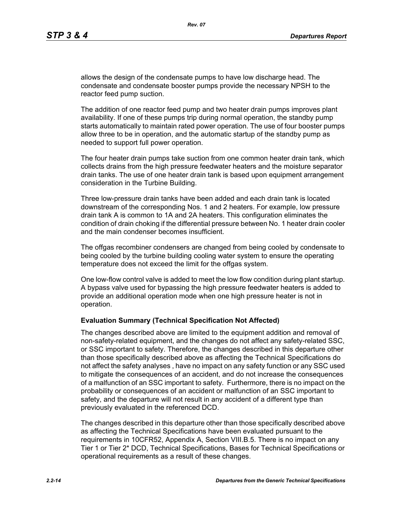allows the design of the condensate pumps to have low discharge head. The condensate and condensate booster pumps provide the necessary NPSH to the reactor feed pump suction.

The addition of one reactor feed pump and two heater drain pumps improves plant availability. If one of these pumps trip during normal operation, the standby pump starts automatically to maintain rated power operation. The use of four booster pumps allow three to be in operation, and the automatic startup of the standby pump as needed to support full power operation.

The four heater drain pumps take suction from one common heater drain tank, which collects drains from the high pressure feedwater heaters and the moisture separator drain tanks. The use of one heater drain tank is based upon equipment arrangement consideration in the Turbine Building.

Three low-pressure drain tanks have been added and each drain tank is located downstream of the corresponding Nos. 1 and 2 heaters. For example, low pressure drain tank A is common to 1A and 2A heaters. This configuration eliminates the condition of drain choking if the differential pressure between No. 1 heater drain cooler and the main condenser becomes insufficient.

The offgas recombiner condensers are changed from being cooled by condensate to being cooled by the turbine building cooling water system to ensure the operating temperature does not exceed the limit for the offgas system.

One low-flow control valve is added to meet the low flow condition during plant startup. A bypass valve used for bypassing the high pressure feedwater heaters is added to provide an additional operation mode when one high pressure heater is not in operation.

#### **Evaluation Summary (Technical Specification Not Affected)**

The changes described above are limited to the equipment addition and removal of non-safety-related equipment, and the changes do not affect any safety-related SSC, or SSC important to safety. Therefore, the changes described in this departure other than those specifically described above as affecting the Technical Specifications do not affect the safety analyses , have no impact on any safety function or any SSC used to mitigate the consequences of an accident, and do not increase the consequences of a malfunction of an SSC important to safety. Furthermore, there is no impact on the probability or consequences of an accident or malfunction of an SSC important to safety, and the departure will not result in any accident of a different type than previously evaluated in the referenced DCD.

The changes described in this departure other than those specifically described above as affecting the Technical Specifications have been evaluated pursuant to the requirements in 10CFR52, Appendix A, Section VIII.B.5. There is no impact on any Tier 1 or Tier 2\* DCD, Technical Specifications, Bases for Technical Specifications or operational requirements as a result of these changes.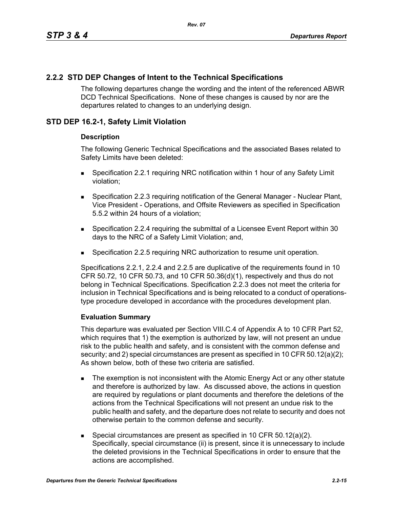# **2.2.2 STD DEP Changes of Intent to the Technical Specifications**

The following departures change the wording and the intent of the referenced ABWR DCD Technical Specifications. None of these changes is caused by nor are the departures related to changes to an underlying design.

## **STD DEP 16.2-1, Safety Limit Violation**

#### **Description**

The following Generic Technical Specifications and the associated Bases related to Safety Limits have been deleted:

- Specification 2.2.1 requiring NRC notification within 1 hour of any Safety Limit violation;
- **Specification 2.2.3 requiring notification of the General Manager Nuclear Plant,** Vice President - Operations, and Offsite Reviewers as specified in Specification 5.5.2 within 24 hours of a violation;
- Specification 2.2.4 requiring the submittal of a Licensee Event Report within 30 days to the NRC of a Safety Limit Violation; and,
- Specification 2.2.5 requiring NRC authorization to resume unit operation.

Specifications 2.2.1, 2.2.4 and 2.2.5 are duplicative of the requirements found in 10 CFR 50.72, 10 CFR 50.73, and 10 CFR 50.36(d)(1), respectively and thus do not belong in Technical Specifications. Specification 2.2.3 does not meet the criteria for inclusion in Technical Specifications and is being relocated to a conduct of operationstype procedure developed in accordance with the procedures development plan.

## **Evaluation Summary**

This departure was evaluated per Section VIII.C.4 of Appendix A to 10 CFR Part 52, which requires that 1) the exemption is authorized by law, will not present an undue risk to the public health and safety, and is consistent with the common defense and security; and 2) special circumstances are present as specified in 10 CFR 50.12(a)(2); As shown below, both of these two criteria are satisfied.

- The exemption is not inconsistent with the Atomic Energy Act or any other statute and therefore is authorized by law. As discussed above, the actions in question are required by regulations or plant documents and therefore the deletions of the actions from the Technical Specifications will not present an undue risk to the public health and safety, and the departure does not relate to security and does not otherwise pertain to the common defense and security.
- Special circumstances are present as specified in 10 CFR 50.12(a)(2). Specifically, special circumstance (ii) is present, since it is unnecessary to include the deleted provisions in the Technical Specifications in order to ensure that the actions are accomplished.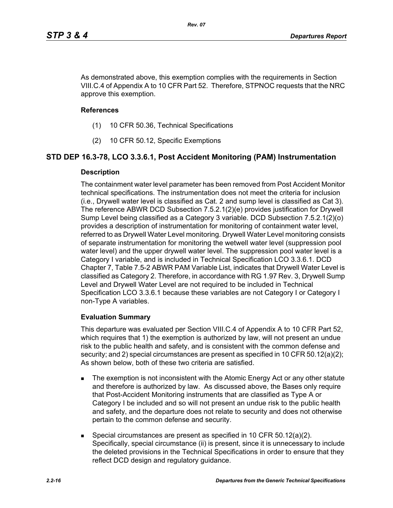As demonstrated above, this exemption complies with the requirements in Section VIII.C.4 of Appendix A to 10 CFR Part 52. Therefore, STPNOC requests that the NRC approve this exemption.

#### **References**

- (1) 10 CFR 50.36, Technical Specifications
- (2) 10 CFR 50.12, Specific Exemptions

## **STD DEP 16.3-78, LCO 3.3.6.1, Post Accident Monitoring (PAM) Instrumentation**

#### **Description**

The containment water level parameter has been removed from Post Accident Monitor technical specifications. The instrumentation does not meet the criteria for inclusion (i.e., Drywell water level is classified as Cat. 2 and sump level is classified as Cat 3). The reference ABWR DCD Subsection 7.5.2.1(2)(e) provides justification for Drywell Sump Level being classified as a Category 3 variable. DCD Subsection 7.5.2.1(2)(o) provides a description of instrumentation for monitoring of containment water level, referred to as Drywell Water Level monitoring. Drywell Water Level monitoring consists of separate instrumentation for monitoring the wetwell water level (suppression pool water level) and the upper drywell water level. The suppression pool water level is a Category I variable, and is included in Technical Specification LCO 3.3.6.1. DCD Chapter 7, Table 7.5-2 ABWR PAM Variable List, indicates that Drywell Water Level is classified as Category 2. Therefore, in accordance with RG 1.97 Rev. 3, Drywell Sump Level and Drywell Water Level are not required to be included in Technical Specification LCO 3.3.6.1 because these variables are not Category I or Category I non-Type A variables.

#### **Evaluation Summary**

This departure was evaluated per Section VIII.C.4 of Appendix A to 10 CFR Part 52, which requires that 1) the exemption is authorized by law, will not present an undue risk to the public health and safety, and is consistent with the common defense and security; and 2) special circumstances are present as specified in 10 CFR 50.12(a)(2); As shown below, both of these two criteria are satisfied.

- The exemption is not inconsistent with the Atomic Energy Act or any other statute and therefore is authorized by law. As discussed above, the Bases only require that Post-Accident Monitoring instruments that are classified as Type A or Category I be included and so will not present an undue risk to the public health and safety, and the departure does not relate to security and does not otherwise pertain to the common defense and security.
- Special circumstances are present as specified in 10 CFR 50.12(a)(2). Specifically, special circumstance (ii) is present, since it is unnecessary to include the deleted provisions in the Technical Specifications in order to ensure that they reflect DCD design and regulatory guidance.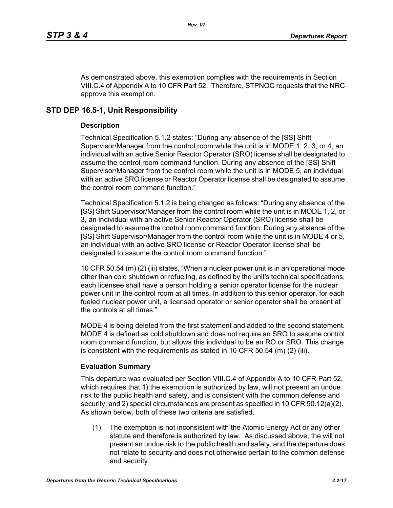As demonstrated above, this exemption complies with the requirements in Section VIII.C.4 of Appendix A to 10 CFR Part 52. Therefore, STPNOC requests that the NRC approve this exemption.

# **STD DEP 16.5-1, Unit Responsibility**

## **Description**

Technical Specification 5.1.2 states: "During any absence of the [SS] Shift Supervisor/Manager from the control room while the unit is in MODE 1, 2, 3, or 4, an individual with an active Senior Reactor Operator (SRO) license shall be designated to assume the control room command function. During any absence of the [SS] Shift Supervisor/Manager from the control room while the unit is in MODE 5, an individual with an active SRO license or Reactor Operator license shall be designated to assume the control room command function."

Technical Specification 5.1.2 is being changed as follows: "During any absence of the [SS] Shift Supervisor/Manager from the control room while the unit is in MODE 1, 2, or 3, an individual with an active Senior Reactor Operator (SRO) license shall be designated to assume the control room command function. During any absence of the [SS] Shift Supervisor/Manager from the control room while the unit is in MODE 4 or 5, an individual with an active SRO license or Reactor Operator license shall be designated to assume the control room command function."

10 CFR 50.54 (m) (2) (iii) states, "When a nuclear power unit is in an operational mode other than cold shutdown or refueling, as defined by the unit's technical specifications, each licensee shall have a person holding a senior operator license for the nuclear power unit in the control room at all times. In addition to this senior operator, for each fueled nuclear power unit, a licensed operator or senior operator shall be present at the controls at all times."

MODE 4 is being deleted from the first statement and added to the second statement. MODE 4 is defined as cold shutdown and does not require an SRO to assume control room command function, but allows this individual to be an RO or SRO. This change is consistent with the requirements as stated in 10 CFR 50.54  $(m)$  (2) (iii).

# **Evaluation Summary**

This departure was evaluated per Section VIII.C.4 of Appendix A to 10 CFR Part 52, which requires that 1) the exemption is authorized by law, will not present an undue risk to the public health and safety, and is consistent with the common defense and security; and 2) special circumstances are present as specified in 10 CFR 50.12(a)(2). As shown below, both of these two criteria are satisfied.

(1) The exemption is not inconsistent with the Atomic Energy Act or any other statute and therefore is authorized by law. As discussed above, the will not present an undue risk to the public health and safety, and the departure does not relate to security and does not otherwise pertain to the common defense and security.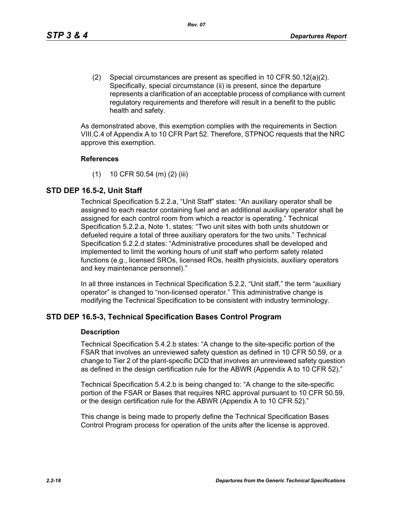*Rev. 07*

(2) Special circumstances are present as specified in 10 CFR 50.12(a)(2). Specifically, special circumstance (ii) is present, since the departure represents a clarification of an acceptable process of compliance with current regulatory requirements and therefore will result in a benefit to the public health and safety.

As demonstrated above, this exemption complies with the requirements in Section VIII.C.4 of Appendix A to 10 CFR Part 52. Therefore, STPNOC requests that the NRC approve this exemption.

## **References**

(1) 10 CFR 50.54 (m) (2) (iii)

# **STD DEP 16.5-2, Unit Staff**

Technical Specification 5.2.2.a, "Unit Staff" states: "An auxiliary operator shall be assigned to each reactor containing fuel and an additional auxiliary operator shall be assigned for each control room from which a reactor is operating." Technical Specification 5.2.2.a, Note 1, states: "Two unit sites with both units shutdown or defueled require a total of three auxiliary operators for the two units." Technical Specification 5.2.2.d states: "Administrative procedures shall be developed and implemented to limit the working hours of unit staff who perform safety related functions (e.g., licensed SROs, licensed ROs, health physicists, auxiliary operators and key maintenance personnel)."

In all three instances in Technical Specification 5.2.2, "Unit staff," the term "auxiliary operator" is changed to "non-licensed operator." This administrative change is modifying the Technical Specification to be consistent with industry terminology.

# **STD DEP 16.5-3, Technical Specification Bases Control Program**

## **Description**

Technical Specification 5.4.2.b states: "A change to the site-specific portion of the FSAR that involves an unreviewed safety question as defined in 10 CFR 50.59, or a change to Tier 2 of the plant-specific DCD that involves an unreviewed safety question as defined in the design certification rule for the ABWR (Appendix A to 10 CFR 52)."

Technical Specification 5.4.2.b is being changed to: "A change to the site-specific portion of the FSAR or Bases that requires NRC approval pursuant to 10 CFR 50.59, or the design certification rule for the ABWR (Appendix A to 10 CFR 52)."

This change is being made to properly define the Technical Specification Bases Control Program process for operation of the units after the license is approved.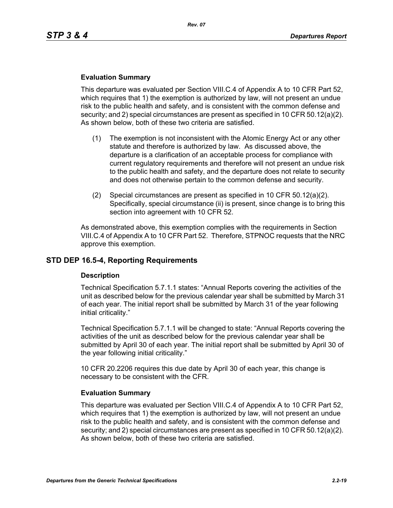#### **Evaluation Summary**

This departure was evaluated per Section VIII.C.4 of Appendix A to 10 CFR Part 52, which requires that 1) the exemption is authorized by law, will not present an undue risk to the public health and safety, and is consistent with the common defense and security; and 2) special circumstances are present as specified in 10 CFR 50.12(a)(2). As shown below, both of these two criteria are satisfied.

- (1) The exemption is not inconsistent with the Atomic Energy Act or any other statute and therefore is authorized by law. As discussed above, the departure is a clarification of an acceptable process for compliance with current regulatory requirements and therefore will not present an undue risk to the public health and safety, and the departure does not relate to security and does not otherwise pertain to the common defense and security.
- (2) Special circumstances are present as specified in 10 CFR 50.12(a)(2). Specifically, special circumstance (ii) is present, since change is to bring this section into agreement with 10 CFR 52.

As demonstrated above, this exemption complies with the requirements in Section VIII.C.4 of Appendix A to 10 CFR Part 52. Therefore, STPNOC requests that the NRC approve this exemption.

## **STD DEP 16.5-4, Reporting Requirements**

#### **Description**

Technical Specification 5.7.1.1 states: "Annual Reports covering the activities of the unit as described below for the previous calendar year shall be submitted by March 31 of each year. The initial report shall be submitted by March 31 of the year following initial criticality."

Technical Specification 5.7.1.1 will be changed to state: "Annual Reports covering the activities of the unit as described below for the previous calendar year shall be submitted by April 30 of each year. The initial report shall be submitted by April 30 of the year following initial criticality."

10 CFR 20.2206 requires this due date by April 30 of each year, this change is necessary to be consistent with the CFR.

#### **Evaluation Summary**

This departure was evaluated per Section VIII.C.4 of Appendix A to 10 CFR Part 52, which requires that 1) the exemption is authorized by law, will not present an undue risk to the public health and safety, and is consistent with the common defense and security; and 2) special circumstances are present as specified in 10 CFR 50.12(a)(2). As shown below, both of these two criteria are satisfied.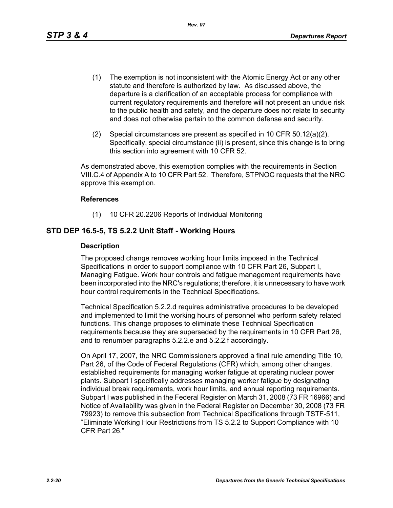- (1) The exemption is not inconsistent with the Atomic Energy Act or any other statute and therefore is authorized by law. As discussed above, the departure is a clarification of an acceptable process for compliance with current regulatory requirements and therefore will not present an undue risk to the public health and safety, and the departure does not relate to security and does not otherwise pertain to the common defense and security.
- (2) Special circumstances are present as specified in 10 CFR 50.12(a)(2). Specifically, special circumstance (ii) is present, since this change is to bring this section into agreement with 10 CFR 52.

As demonstrated above, this exemption complies with the requirements in Section VIII.C.4 of Appendix A to 10 CFR Part 52. Therefore, STPNOC requests that the NRC approve this exemption.

#### **References**

(1) 10 CFR 20.2206 Reports of Individual Monitoring

## **STD DEP 16.5-5, TS 5.2.2 Unit Staff - Working Hours**

#### **Description**

The proposed change removes working hour limits imposed in the Technical Specifications in order to support compliance with 10 CFR Part 26, Subpart I, Managing Fatigue. Work hour controls and fatigue management requirements have been incorporated into the NRC's regulations; therefore, it is unnecessary to have work hour control requirements in the Technical Specifications.

Technical Specification 5.2.2.d requires administrative procedures to be developed and implemented to limit the working hours of personnel who perform safety related functions. This change proposes to eliminate these Technical Specification requirements because they are superseded by the requirements in 10 CFR Part 26, and to renumber paragraphs 5.2.2.e and 5.2.2.f accordingly.

On April 17, 2007, the NRC Commissioners approved a final rule amending Title 10, Part 26, of the Code of Federal Regulations (CFR) which, among other changes, established requirements for managing worker fatigue at operating nuclear power plants. Subpart I specifically addresses managing worker fatigue by designating individual break requirements, work hour limits, and annual reporting requirements. Subpart I was published in the Federal Register on March 31, 2008 (73 FR 16966) and Notice of Availability was given in the Federal Register on December 30, 2008 (73 FR 79923) to remove this subsection from Technical Specifications through TSTF-511, "Eliminate Working Hour Restrictions from TS 5.2.2 to Support Compliance with 10 CFR Part 26."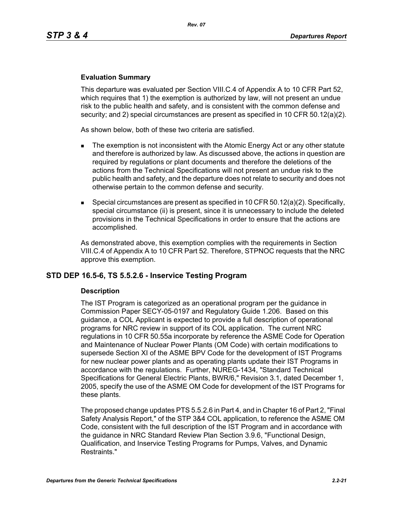#### **Evaluation Summary**

This departure was evaluated per Section VIII.C.4 of Appendix A to 10 CFR Part 52, which requires that 1) the exemption is authorized by law, will not present an undue risk to the public health and safety, and is consistent with the common defense and security; and 2) special circumstances are present as specified in 10 CFR 50.12(a)(2).

As shown below, both of these two criteria are satisfied.

- The exemption is not inconsistent with the Atomic Energy Act or any other statute and therefore is authorized by law. As discussed above, the actions in question are required by regulations or plant documents and therefore the deletions of the actions from the Technical Specifications will not present an undue risk to the public health and safety, and the departure does not relate to security and does not otherwise pertain to the common defense and security.
- **Special circumstances are present as specified in 10 CFR 50.12(a)(2). Specifically,** special circumstance (ii) is present, since it is unnecessary to include the deleted provisions in the Technical Specifications in order to ensure that the actions are accomplished.

As demonstrated above, this exemption complies with the requirements in Section VIII.C.4 of Appendix A to 10 CFR Part 52. Therefore, STPNOC requests that the NRC approve this exemption.

## **STD DEP 16.5-6, TS 5.5.2.6 - Inservice Testing Program**

#### **Description**

The IST Program is categorized as an operational program per the guidance in Commission Paper SECY-05-0197 and Regulatory Guide 1.206. Based on this guidance, a COL Applicant is expected to provide a full description of operational programs for NRC review in support of its COL application. The current NRC regulations in 10 CFR 50.55a incorporate by reference the ASME Code for Operation and Maintenance of Nuclear Power Plants (OM Code) with certain modifications to supersede Section XI of the ASME BPV Code for the development of IST Programs for new nuclear power plants and as operating plants update their IST Programs in accordance with the regulations. Further, NUREG-1434, "Standard Technical Specifications for General Electric Plants, BWR/6," Revision 3.1, dated December 1, 2005, specify the use of the ASME OM Code for development of the IST Programs for these plants.

The proposed change updates PTS 5.5.2.6 in Part 4, and in Chapter 16 of Part 2, "Final Safety Analysis Report," of the STP 3&4 COL application, to reference the ASME OM Code, consistent with the full description of the IST Program and in accordance with the guidance in NRC Standard Review Plan Section 3.9.6, "Functional Design, Qualification, and Inservice Testing Programs for Pumps, Valves, and Dynamic Restraints."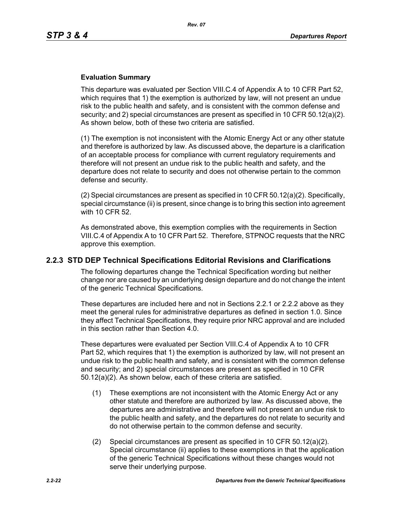#### **Evaluation Summary**

This departure was evaluated per Section VIII.C.4 of Appendix A to 10 CFR Part 52, which requires that 1) the exemption is authorized by law, will not present an undue risk to the public health and safety, and is consistent with the common defense and security; and 2) special circumstances are present as specified in 10 CFR 50.12(a)(2). As shown below, both of these two criteria are satisfied.

(1) The exemption is not inconsistent with the Atomic Energy Act or any other statute and therefore is authorized by law. As discussed above, the departure is a clarification of an acceptable process for compliance with current regulatory requirements and therefore will not present an undue risk to the public health and safety, and the departure does not relate to security and does not otherwise pertain to the common defense and security.

(2) Special circumstances are present as specified in 10 CFR  $50.12(a)(2)$ . Specifically, special circumstance (ii) is present, since change is to bring this section into agreement with 10 CFR 52.

As demonstrated above, this exemption complies with the requirements in Section VIII.C.4 of Appendix A to 10 CFR Part 52. Therefore, STPNOC requests that the NRC approve this exemption.

## **2.2.3 STD DEP Technical Specifications Editorial Revisions and Clarifications**

The following departures change the Technical Specification wording but neither change nor are caused by an underlying design departure and do not change the intent of the generic Technical Specifications.

These departures are included here and not in Sections 2.2.1 or 2.2.2 above as they meet the general rules for administrative departures as defined in section 1.0. Since they affect Technical Specifications, they require prior NRC approval and are included in this section rather than Section 4.0.

These departures were evaluated per Section VIII.C.4 of Appendix A to 10 CFR Part 52, which requires that 1) the exemption is authorized by law, will not present an undue risk to the public health and safety, and is consistent with the common defense and security; and 2) special circumstances are present as specified in 10 CFR 50.12(a)(2). As shown below, each of these criteria are satisfied.

- (1) These exemptions are not inconsistent with the Atomic Energy Act or any other statute and therefore are authorized by law. As discussed above, the departures are administrative and therefore will not present an undue risk to the public health and safety, and the departures do not relate to security and do not otherwise pertain to the common defense and security.
- (2) Special circumstances are present as specified in 10 CFR 50.12(a)(2). Special circumstance (ii) applies to these exemptions in that the application of the generic Technical Specifications without these changes would not serve their underlying purpose.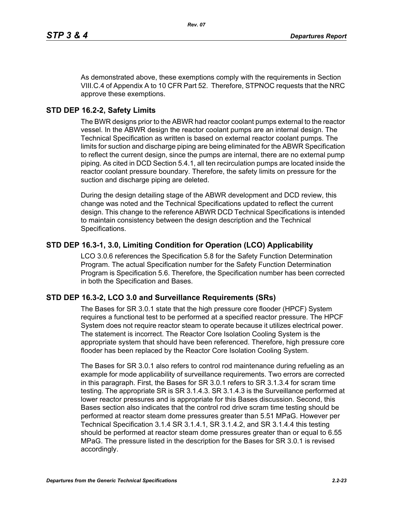As demonstrated above, these exemptions comply with the requirements in Section VIII.C.4 of Appendix A to 10 CFR Part 52. Therefore, STPNOC requests that the NRC approve these exemptions.

## **STD DEP 16.2-2, Safety Limits**

The BWR designs prior to the ABWR had reactor coolant pumps external to the reactor vessel. In the ABWR design the reactor coolant pumps are an internal design. The Technical Specification as written is based on external reactor coolant pumps. The limits for suction and discharge piping are being eliminated for the ABWR Specification to reflect the current design, since the pumps are internal, there are no external pump piping. As cited in DCD Section 5.4.1, all ten recirculation pumps are located inside the reactor coolant pressure boundary. Therefore, the safety limits on pressure for the suction and discharge piping are deleted.

During the design detailing stage of the ABWR development and DCD review, this change was noted and the Technical Specifications updated to reflect the current design. This change to the reference ABWR DCD Technical Specifications is intended to maintain consistency between the design description and the Technical Specifications.

## **STD DEP 16.3-1, 3.0, Limiting Condition for Operation (LCO) Applicability**

LCO 3.0.6 references the Specification 5.8 for the Safety Function Determination Program. The actual Specification number for the Safety Function Determination Program is Specification 5.6. Therefore, the Specification number has been corrected in both the Specification and Bases.

## **STD DEP 16.3-2, LCO 3.0 and Surveillance Requirements (SRs)**

The Bases for SR 3.0.1 state that the high pressure core flooder (HPCF) System requires a functional test to be performed at a specified reactor pressure. The HPCF System does not require reactor steam to operate because it utilizes electrical power. The statement is incorrect. The Reactor Core Isolation Cooling System is the appropriate system that should have been referenced. Therefore, high pressure core flooder has been replaced by the Reactor Core Isolation Cooling System.

The Bases for SR 3.0.1 also refers to control rod maintenance during refueling as an example for mode applicability of surveillance requirements. Two errors are corrected in this paragraph. First, the Bases for SR 3.0.1 refers to SR 3.1.3.4 for scram time testing. The appropriate SR is SR 3.1.4.3. SR 3.1.4.3 is the Surveillance performed at lower reactor pressures and is appropriate for this Bases discussion. Second, this Bases section also indicates that the control rod drive scram time testing should be performed at reactor steam dome pressures greater than 5.51 MPaG. However per Technical Specification 3.1.4 SR 3.1.4.1, SR 3.1.4.2, and SR 3.1.4.4 this testing should be performed at reactor steam dome pressures greater than or equal to 6.55 MPaG. The pressure listed in the description for the Bases for SR 3.0.1 is revised accordingly.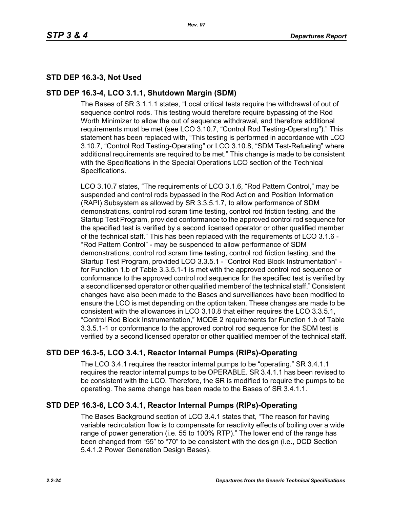# **STD DEP 16.3-3, Not Used**

## **STD DEP 16.3-4, LCO 3.1.1, Shutdown Margin (SDM)**

The Bases of SR 3.1.1.1 states, "Local critical tests require the withdrawal of out of sequence control rods. This testing would therefore require bypassing of the Rod Worth Minimizer to allow the out of sequence withdrawal, and therefore additional requirements must be met (see LCO 3.10.7, "Control Rod Testing-Operating")." This statement has been replaced with, "This testing is performed in accordance with LCO 3.10.7, "Control Rod Testing-Operating" or LCO 3.10.8, "SDM Test-Refueling" where additional requirements are required to be met." This change is made to be consistent with the Specifications in the Special Operations LCO section of the Technical Specifications.

LCO 3.10.7 states, "The requirements of LCO 3.1.6, "Rod Pattern Control," may be suspended and control rods bypassed in the Rod Action and Position Information (RAPI) Subsystem as allowed by SR 3.3.5.1.7, to allow performance of SDM demonstrations, control rod scram time testing, control rod friction testing, and the Startup Test Program, provided conformance to the approved control rod sequence for the specified test is verified by a second licensed operator or other qualified member of the technical staff." This has been replaced with the requirements of LCO 3.1.6 - "Rod Pattern Control" - may be suspended to allow performance of SDM demonstrations, control rod scram time testing, control rod friction testing, and the Startup Test Program, provided LCO 3.3.5.1 - "Control Rod Block Instrumentation" for Function 1.b of Table 3.3.5.1-1 is met with the approved control rod sequence or conformance to the approved control rod sequence for the specified test is verified by a second licensed operator or other qualified member of the technical staff." Consistent changes have also been made to the Bases and surveillances have been modified to ensure the LCO is met depending on the option taken. These changes are made to be consistent with the allowances in LCO 3.10.8 that either requires the LCO 3.3.5.1, "Control Rod Block Instrumentation," MODE 2 requirements for Function 1.b of Table 3.3.5.1-1 or conformance to the approved control rod sequence for the SDM test is verified by a second licensed operator or other qualified member of the technical staff.

# **STD DEP 16.3-5, LCO 3.4.1, Reactor Internal Pumps (RIPs)-Operating**

The LCO 3.4.1 requires the reactor internal pumps to be "operating." SR 3.4.1.1 requires the reactor internal pumps to be OPERABLE. SR 3.4.1.1 has been revised to be consistent with the LCO. Therefore, the SR is modified to require the pumps to be operating. The same change has been made to the Bases of SR 3.4.1.1.

# **STD DEP 16.3-6, LCO 3.4.1, Reactor Internal Pumps (RIPs)-Operating**

The Bases Background section of LCO 3.4.1 states that, "The reason for having variable recirculation flow is to compensate for reactivity effects of boiling over a wide range of power generation (i.e. 55 to 100% RTP)." The lower end of the range has been changed from "55" to "70" to be consistent with the design (i.e., DCD Section 5.4.1.2 Power Generation Design Bases).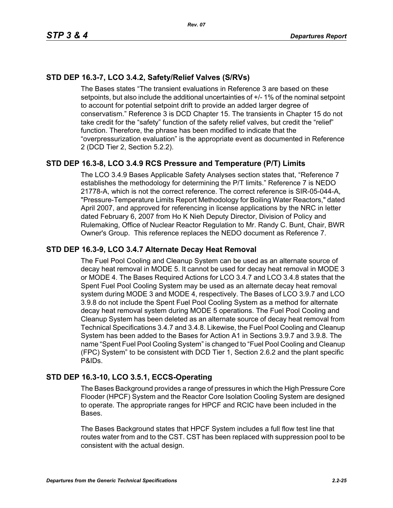# **STD DEP 16.3-7, LCO 3.4.2, Safety/Relief Valves (S/RVs)**

The Bases states "The transient evaluations in Reference 3 are based on these setpoints, but also include the additional uncertainties of +/- 1% of the nominal setpoint to account for potential setpoint drift to provide an added larger degree of conservatism." Reference 3 is DCD Chapter 15. The transients in Chapter 15 do not take credit for the "safety" function of the safety relief valves, but credit the "relief" function. Therefore, the phrase has been modified to indicate that the "overpressurization evaluation" is the appropriate event as documented in Reference 2 (DCD Tier 2, Section 5.2.2).

# **STD DEP 16.3-8, LCO 3.4.9 RCS Pressure and Temperature (P/T) Limits**

The LCO 3.4.9 Bases Applicable Safety Analyses section states that, "Reference 7 establishes the methodology for determining the P/T limits." Reference 7 is NEDO 21778-A, which is not the correct reference. The correct reference is SIR-05-044-A, "Pressure-Temperature Limits Report Methodology for Boiling Water Reactors," dated April 2007, and approved for referencing in license applications by the NRC in letter dated February 6, 2007 from Ho K Nieh Deputy Director, Division of Policy and Rulemaking, Office of Nuclear Reactor Regulation to Mr. Randy C. Bunt, Chair, BWR Owner's Group. This reference replaces the NEDO document as Reference 7.

## **STD DEP 16.3-9, LCO 3.4.7 Alternate Decay Heat Removal**

The Fuel Pool Cooling and Cleanup System can be used as an alternate source of decay heat removal in MODE 5. It cannot be used for decay heat removal in MODE 3 or MODE 4. The Bases Required Actions for LCO 3.4.7 and LCO 3.4.8 states that the Spent Fuel Pool Cooling System may be used as an alternate decay heat removal system during MODE 3 and MODE 4, respectively. The Bases of LCO 3.9.7 and LCO 3.9.8 do not include the Spent Fuel Pool Cooling System as a method for alternate decay heat removal system during MODE 5 operations. The Fuel Pool Cooling and Cleanup System has been deleted as an alternate source of decay heat removal from Technical Specifications 3.4.7 and 3.4.8. Likewise, the Fuel Pool Cooling and Cleanup System has been added to the Bases for Action A1 in Sections 3.9.7 and 3.9.8. The name "Spent Fuel Pool Cooling System" is changed to "Fuel Pool Cooling and Cleanup (FPC) System" to be consistent with DCD Tier 1, Section 2.6.2 and the plant specific P&IDs.

# **STD DEP 16.3-10, LCO 3.5.1, ECCS-Operating**

The Bases Background provides a range of pressures in which the High Pressure Core Flooder (HPCF) System and the Reactor Core Isolation Cooling System are designed to operate. The appropriate ranges for HPCF and RCIC have been included in the Bases.

The Bases Background states that HPCF System includes a full flow test line that routes water from and to the CST. CST has been replaced with suppression pool to be consistent with the actual design.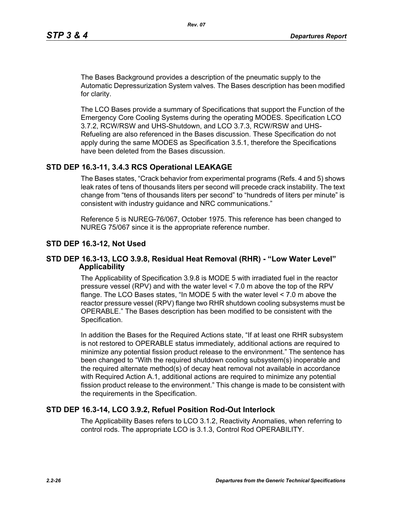The Bases Background provides a description of the pneumatic supply to the Automatic Depressurization System valves. The Bases description has been modified for clarity.

The LCO Bases provide a summary of Specifications that support the Function of the Emergency Core Cooling Systems during the operating MODES. Specification LCO 3.7.2, RCW/RSW and UHS-Shutdown, and LCO 3.7.3, RCW/RSW and UHS-Refueling are also referenced in the Bases discussion. These Specification do not apply during the same MODES as Specification 3.5.1, therefore the Specifications have been deleted from the Bases discussion.

## **STD DEP 16.3-11, 3.4.3 RCS Operational LEAKAGE**

The Bases states, "Crack behavior from experimental programs (Refs. 4 and 5) shows leak rates of tens of thousands liters per second will precede crack instability. The text change from "tens of thousands liters per second" to "hundreds of liters per minute" is consistent with industry guidance and NRC communications."

Reference 5 is NUREG-76/067, October 1975. This reference has been changed to NUREG 75/067 since it is the appropriate reference number.

#### **STD DEP 16.3-12, Not Used**

#### **STD DEP 16.3-13, LCO 3.9.8, Residual Heat Removal (RHR) - "Low Water Level" Applicability**

The Applicability of Specification 3.9.8 is MODE 5 with irradiated fuel in the reactor pressure vessel (RPV) and with the water level < 7.0 m above the top of the RPV flange. The LCO Bases states, "In MODE 5 with the water level < 7.0 m above the reactor pressure vessel (RPV) flange two RHR shutdown cooling subsystems must be OPERABLE." The Bases description has been modified to be consistent with the Specification.

In addition the Bases for the Required Actions state, "If at least one RHR subsystem is not restored to OPERABLE status immediately, additional actions are required to minimize any potential fission product release to the environment." The sentence has been changed to "With the required shutdown cooling subsystem(s) inoperable and the required alternate method(s) of decay heat removal not available in accordance with Required Action A.1, additional actions are required to minimize any potential fission product release to the environment." This change is made to be consistent with the requirements in the Specification.

## **STD DEP 16.3-14, LCO 3.9.2, Refuel Position Rod-Out Interlock**

The Applicability Bases refers to LCO 3.1.2, Reactivity Anomalies, when referring to control rods. The appropriate LCO is 3.1.3, Control Rod OPERABILITY.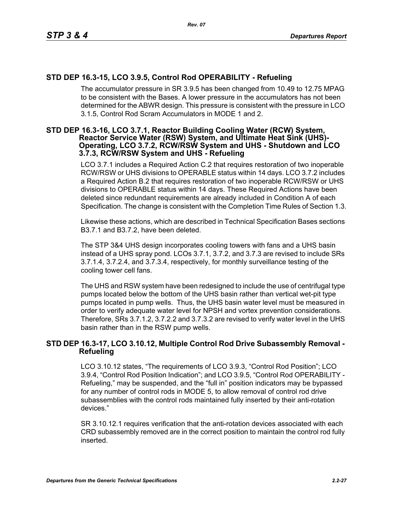# **STD DEP 16.3-15, LCO 3.9.5, Control Rod OPERABILITY - Refueling**

The accumulator pressure in SR 3.9.5 has been changed from 10.49 to 12.75 MPAG to be consistent with the Bases. A lower pressure in the accumulators has not been determined for the ABWR design. This pressure is consistent with the pressure in LCO 3.1.5, Control Rod Scram Accumulators in MODE 1 and 2.

#### **STD DEP 16.3-16, LCO 3.7.1, Reactor Building Cooling Water (RCW) System, Reactor Service Water (RSW) System, and Ultimate Heat Sink (UHS)- Operating, LCO 3.7.2, RCW/RSW System and UHS - Shutdown and LCO 3.7.3, RCW/RSW System and UHS - Refueling**

LCO 3.7.1 includes a Required Action C.2 that requires restoration of two inoperable RCW/RSW or UHS divisions to OPERABLE status within 14 days. LCO 3.7.2 includes a Required Action B.2 that requires restoration of two inoperable RCW/RSW or UHS divisions to OPERABLE status within 14 days. These Required Actions have been deleted since redundant requirements are already included in Condition A of each Specification. The change is consistent with the Completion Time Rules of Section 1.3.

Likewise these actions, which are described in Technical Specification Bases sections B3.7.1 and B3.7.2, have been deleted.

The STP 3&4 UHS design incorporates cooling towers with fans and a UHS basin instead of a UHS spray pond. LCOs 3.7.1, 3.7.2, and 3.7.3 are revised to include SRs 3.7.1.4, 3.7.2.4, and 3.7.3.4, respectively, for monthly surveillance testing of the cooling tower cell fans.

The UHS and RSW system have been redesigned to include the use of centrifugal type pumps located below the bottom of the UHS basin rather than vertical wet-pit type pumps located in pump wells. Thus, the UHS basin water level must be measured in order to verify adequate water level for NPSH and vortex prevention considerations. Therefore, SRs 3.7.1.2, 3.7.2.2 and 3.7.3.2 are revised to verify water level in the UHS basin rather than in the RSW pump wells.

## **STD DEP 16.3-17, LCO 3.10.12, Multiple Control Rod Drive Subassembly Removal - Refueling**

LCO 3.10.12 states, "The requirements of LCO 3.9.3, "Control Rod Position"; LCO 3.9.4, "Control Rod Position Indication"; and LCO 3.9.5, "Control Rod OPERABILITY - Refueling," may be suspended, and the "full in" position indicators may be bypassed for any number of control rods in MODE 5, to allow removal of control rod drive subassemblies with the control rods maintained fully inserted by their anti-rotation devices."

SR 3.10.12.1 requires verification that the anti-rotation devices associated with each CRD subassembly removed are in the correct position to maintain the control rod fully inserted.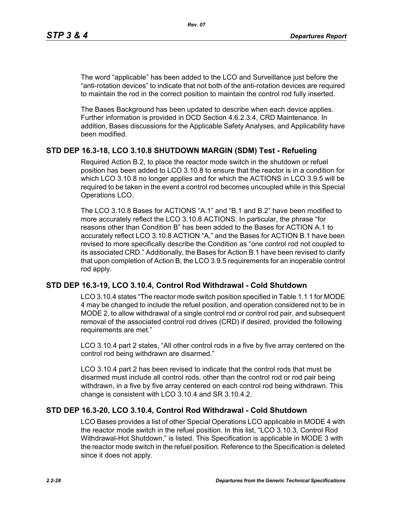The word "applicable" has been added to the LCO and Surveillance just before the "anti-rotation devices" to indicate that not both of the anti-rotation devices are required to maintain the rod in the correct position to maintain the control rod fully inserted.

The Bases Background has been updated to describe when each device applies. Further information is provided in DCD Section 4.6.2.3.4, CRD Maintenance. In addition, Bases discussions for the Applicable Safety Analyses, and Applicability have been modified.

## **STD DEP 16.3-18, LCO 3.10.8 SHUTDOWN MARGIN (SDM) Test - Refueling**

Required Action B.2, to place the reactor mode switch in the shutdown or refuel position has been added to LCO 3.10.8 to ensure that the reactor is in a condition for which LCO 3.10.8 no longer applies and for which the ACTIONS in LCO 3.9.5 will be required to be taken in the event a control rod becomes uncoupled while in this Special Operations LCO.

The LCO 3.10.8 Bases for ACTIONS "A.1" and "B.1 and B.2" have been modified to more accurately reflect the LCO 3.10.8 ACTIONS. In particular, the phrase "for reasons other than Condition B" has been added to the Bases for ACTION A.1 to accurately reflect LCO 3.10.8 ACTION "A," and the Bases for ACTION B.1 have been revised to more specifically describe the Condition as "one control rod not coupled to its associated CRD." Additionally, the Bases for Action B.1 have been revised to clarify that upon completion of Action B, the LCO 3.9.5 requirements for an inoperable control rod apply.

## **STD DEP 16.3-19, LCO 3.10.4, Control Rod Withdrawal - Cold Shutdown**

LCO 3.10.4 states "The reactor mode switch position specified in Table 1.1 1 for MODE 4 may be changed to include the refuel position, and operation considered not to be in MODE 2, to allow withdrawal of a single control rod or control rod pair, and subsequent removal of the associated control rod drives (CRD) if desired, provided the following requirements are met."

LCO 3.10.4 part 2 states, "All other control rods in a five by five array centered on the control rod being withdrawn are disarmed."

LCO 3.10.4 part 2 has been revised to indicate that the control rods that must be disarmed must include all control rods, other than the control rod or rod pair being withdrawn, in a five by five array centered on each control rod being withdrawn. This change is consistent with LCO 3.10.4 and SR 3.10.4.2.

## **STD DEP 16.3-20, LCO 3.10.4, Control Rod Withdrawal - Cold Shutdown**

LCO Bases provides a list of other Special Operations LCO applicable in MODE 4 with the reactor mode switch in the refuel position. In this list, "LCO 3.10.3, Control Rod Withdrawal-Hot Shutdown," is listed. This Specification is applicable in MODE 3 with the reactor mode switch in the refuel position. Reference to the Specification is deleted since it does not apply.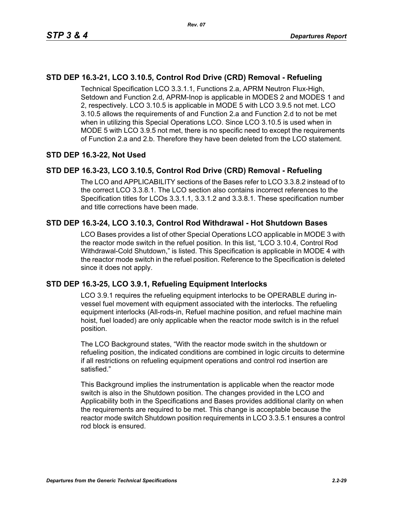# **STD DEP 16.3-21, LCO 3.10.5, Control Rod Drive (CRD) Removal - Refueling**

Technical Specification LCO 3.3.1.1, Functions 2.a, APRM Neutron Flux-High, Setdown and Function 2.d, APRM-Inop is applicable in MODES 2 and MODES 1 and 2, respectively. LCO 3.10.5 is applicable in MODE 5 with LCO 3.9.5 not met. LCO 3.10.5 allows the requirements of and Function 2.a and Function 2.d to not be met when in utilizing this Special Operations LCO. Since LCO 3.10.5 is used when in MODE 5 with LCO 3.9.5 not met, there is no specific need to except the requirements of Function 2.a and 2.b. Therefore they have been deleted from the LCO statement.

# **STD DEP 16.3-22, Not Used**

# **STD DEP 16.3-23, LCO 3.10.5, Control Rod Drive (CRD) Removal - Refueling**

The LCO and APPLICABILITY sections of the Bases refer to LCO 3.3.8.2 instead of to the correct LCO 3.3.8.1. The LCO section also contains incorrect references to the Specification titles for LCOs 3.3.1.1, 3.3.1.2 and 3.3.8.1. These specification number and title corrections have been made.

# **STD DEP 16.3-24, LCO 3.10.3, Control Rod Withdrawal - Hot Shutdown Bases**

LCO Bases provides a list of other Special Operations LCO applicable in MODE 3 with the reactor mode switch in the refuel position. In this list, "LCO 3.10.4, Control Rod Withdrawal-Cold Shutdown," is listed. This Specification is applicable in MODE 4 with the reactor mode switch in the refuel position. Reference to the Specification is deleted since it does not apply.

# **STD DEP 16.3-25, LCO 3.9.1, Refueling Equipment Interlocks**

LCO 3.9.1 requires the refueling equipment interlocks to be OPERABLE during invessel fuel movement with equipment associated with the interlocks. The refueling equipment interlocks (All-rods-in, Refuel machine position, and refuel machine main hoist, fuel loaded) are only applicable when the reactor mode switch is in the refuel position.

The LCO Background states, "With the reactor mode switch in the shutdown or refueling position, the indicated conditions are combined in logic circuits to determine if all restrictions on refueling equipment operations and control rod insertion are satisfied."

This Background implies the instrumentation is applicable when the reactor mode switch is also in the Shutdown position. The changes provided in the LCO and Applicability both in the Specifications and Bases provides additional clarity on when the requirements are required to be met. This change is acceptable because the reactor mode switch Shutdown position requirements in LCO 3.3.5.1 ensures a control rod block is ensured.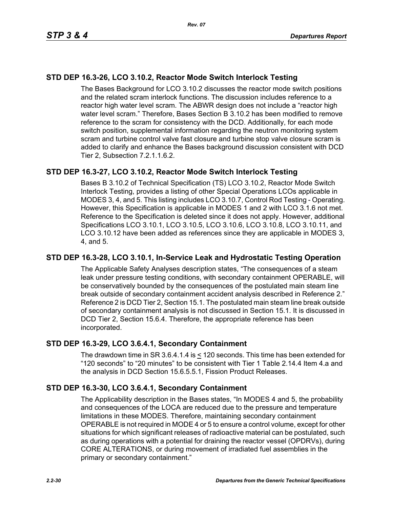# **STD DEP 16.3-26, LCO 3.10.2, Reactor Mode Switch Interlock Testing**

The Bases Background for LCO 3.10.2 discusses the reactor mode switch positions and the related scram interlock functions. The discussion includes reference to a reactor high water level scram. The ABWR design does not include a "reactor high water level scram." Therefore, Bases Section B 3.10.2 has been modified to remove reference to the scram for consistency with the DCD. Additionally, for each mode switch position, supplemental information regarding the neutron monitoring system scram and turbine control valve fast closure and turbine stop valve closure scram is added to clarify and enhance the Bases background discussion consistent with DCD Tier 2, Subsection 7.2.1.1.6.2.

# **STD DEP 16.3-27, LCO 3.10.2, Reactor Mode Switch Interlock Testing**

Bases B 3.10.2 of Technical Specification (TS) LCO 3.10.2, Reactor Mode Switch Interlock Testing, provides a listing of other Special Operations LCOs applicable in MODES 3, 4, and 5. This listing includes LCO 3.10.7, Control Rod Testing - Operating. However, this Specification is applicable in MODES 1 and 2 with LCO 3.1.6 not met. Reference to the Specification is deleted since it does not apply. However, additional Specifications LCO 3.10.1, LCO 3.10.5, LCO 3.10.6, LCO 3.10.8, LCO 3.10.11, and LCO 3.10.12 have been added as references since they are applicable in MODES 3, 4, and 5.

## **STD DEP 16.3-28, LCO 3.10.1, In-Service Leak and Hydrostatic Testing Operation**

The Applicable Safety Analyses description states, "The consequences of a steam leak under pressure testing conditions, with secondary containment OPERABLE, will be conservatively bounded by the consequences of the postulated main steam line break outside of secondary containment accident analysis described in Reference 2." Reference 2 is DCD Tier 2, Section 15.1. The postulated main steam line break outside of secondary containment analysis is not discussed in Section 15.1. It is discussed in DCD Tier 2, Section 15.6.4. Therefore, the appropriate reference has been incorporated.

## **STD DEP 16.3-29, LCO 3.6.4.1, Secondary Containment**

The drawdown time in SR 3.6.4.1.4 is < 120 seconds. This time has been extended for "120 seconds" to "20 minutes" to be consistent with Tier 1 Table 2.14.4 Item 4.a and the analysis in DCD Section 15.6.5.5.1, Fission Product Releases.

## **STD DEP 16.3-30, LCO 3.6.4.1, Secondary Containment**

The Applicability description in the Bases states, "In MODES 4 and 5, the probability and consequences of the LOCA are reduced due to the pressure and temperature limitations in these MODES. Therefore, maintaining secondary containment OPERABLE is not required in MODE 4 or 5 to ensure a control volume, except for other situations for which significant releases of radioactive material can be postulated, such as during operations with a potential for draining the reactor vessel (OPDRVs), during CORE ALTERATIONS, or during movement of irradiated fuel assemblies in the primary or secondary containment."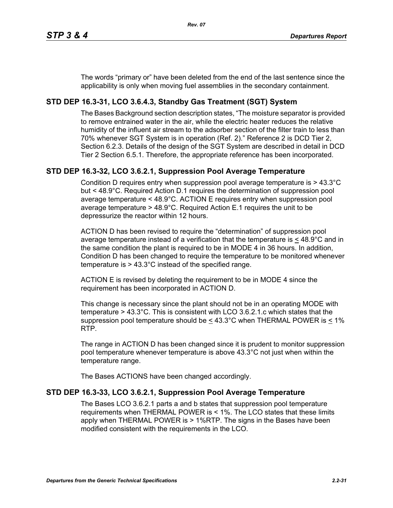The words "primary or" have been deleted from the end of the last sentence since the applicability is only when moving fuel assemblies in the secondary containment.

# **STD DEP 16.3-31, LCO 3.6.4.3, Standby Gas Treatment (SGT) System**

The Bases Background section description states, "The moisture separator is provided to remove entrained water in the air, while the electric heater reduces the relative humidity of the influent air stream to the adsorber section of the filter train to less than 70% whenever SGT System is in operation (Ref. 2)." Reference 2 is DCD Tier 2, Section 6.2.3. Details of the design of the SGT System are described in detail in DCD Tier 2 Section 6.5.1. Therefore, the appropriate reference has been incorporated.

# **STD DEP 16.3-32, LCO 3.6.2.1, Suppression Pool Average Temperature**

Condition D requires entry when suppression pool average temperature is > 43.3°C but < 48.9°C. Required Action D.1 requires the determination of suppression pool average temperature < 48.9°C. ACTION E requires entry when suppression pool average temperature > 48.9°C. Required Action E.1 requires the unit to be depressurize the reactor within 12 hours.

ACTION D has been revised to require the "determination" of suppression pool average temperature instead of a verification that the temperature is  $\leq 48.9^{\circ}$ C and in the same condition the plant is required to be in MODE 4 in 36 hours. In addition, Condition D has been changed to require the temperature to be monitored whenever temperature is > 43.3°C instead of the specified range.

ACTION E is revised by deleting the requirement to be in MODE 4 since the requirement has been incorporated in ACTION D.

This change is necessary since the plant should not be in an operating MODE with temperature > 43.3°C. This is consistent with LCO 3.6.2.1.c which states that the suppression pool temperature should be  $\leq 43.3^{\circ}$ C when THERMAL POWER is  $\leq 1\%$ RTP.

The range in ACTION D has been changed since it is prudent to monitor suppression pool temperature whenever temperature is above 43.3°C not just when within the temperature range.

The Bases ACTIONS have been changed accordingly.

# **STD DEP 16.3-33, LCO 3.6.2.1, Suppression Pool Average Temperature**

The Bases LCO 3.6.2.1 parts a and b states that suppression pool temperature requirements when THERMAL POWER is < 1%. The LCO states that these limits apply when THERMAL POWER is > 1%RTP. The signs in the Bases have been modified consistent with the requirements in the LCO.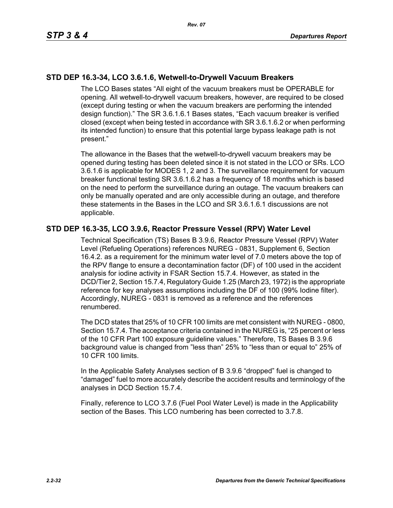# **STD DEP 16.3-34, LCO 3.6.1.6, Wetwell-to-Drywell Vacuum Breakers**

The LCO Bases states "All eight of the vacuum breakers must be OPERABLE for opening. All wetwell-to-drywell vacuum breakers, however, are required to be closed (except during testing or when the vacuum breakers are performing the intended design function)." The SR 3.6.1.6.1 Bases states, "Each vacuum breaker is verified closed (except when being tested in accordance with SR 3.6.1.6.2 or when performing its intended function) to ensure that this potential large bypass leakage path is not present."

The allowance in the Bases that the wetwell-to-drywell vacuum breakers may be opened during testing has been deleted since it is not stated in the LCO or SRs. LCO 3.6.1.6 is applicable for MODES 1, 2 and 3. The surveillance requirement for vacuum breaker functional testing SR 3.6.1.6.2 has a frequency of 18 months which is based on the need to perform the surveillance during an outage. The vacuum breakers can only be manually operated and are only accessible during an outage, and therefore these statements in the Bases in the LCO and SR 3.6.1.6.1 discussions are not applicable.

## **STD DEP 16.3-35, LCO 3.9.6, Reactor Pressure Vessel (RPV) Water Level**

Technical Specification (TS) Bases B 3.9.6, Reactor Pressure Vessel (RPV) Water Level (Refueling Operations) references NUREG - 0831, Supplement 6, Section 16.4.2. as a requirement for the minimum water level of 7.0 meters above the top of the RPV flange to ensure a decontamination factor (DF) of 100 used in the accident analysis for iodine activity in FSAR Section 15.7.4. However, as stated in the DCD/Tier 2, Section 15.7.4, Regulatory Guide 1.25 (March 23, 1972) is the appropriate reference for key analyses assumptions including the DF of 100 (99% Iodine filter). Accordingly, NUREG - 0831 is removed as a reference and the references renumbered.

The DCD states that 25% of 10 CFR 100 limits are met consistent with NUREG - 0800, Section 15.7.4. The acceptance criteria contained in the NUREG is, "25 percent or less of the 10 CFR Part 100 exposure guideline values." Therefore, TS Bases B 3.9.6 background value is changed from "less than" 25% to "less than or equal to" 25% of 10 CFR 100 limits.

In the Applicable Safety Analyses section of B 3.9.6 "dropped" fuel is changed to "damaged" fuel to more accurately describe the accident results and terminology of the analyses in DCD Section 15.7.4.

Finally, reference to LCO 3.7.6 (Fuel Pool Water Level) is made in the Applicability section of the Bases. This LCO numbering has been corrected to 3.7.8.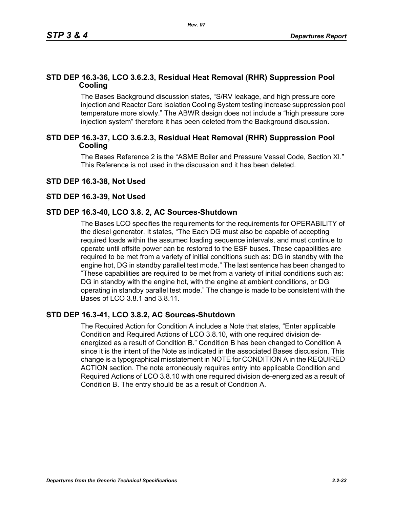## **STD DEP 16.3-36, LCO 3.6.2.3, Residual Heat Removal (RHR) Suppression Pool Cooling**

The Bases Background discussion states, "S/RV leakage, and high pressure core injection and Reactor Core Isolation Cooling System testing increase suppression pool temperature more slowly." The ABWR design does not include a "high pressure core injection system" therefore it has been deleted from the Background discussion.

## **STD DEP 16.3-37, LCO 3.6.2.3, Residual Heat Removal (RHR) Suppression Pool Cooling**

The Bases Reference 2 is the "ASME Boiler and Pressure Vessel Code, Section XI." This Reference is not used in the discussion and it has been deleted.

## **STD DEP 16.3-38, Not Used**

#### **STD DEP 16.3-39, Not Used**

#### **STD DEP 16.3-40, LCO 3.8. 2, AC Sources-Shutdown**

The Bases LCO specifies the requirements for the requirements for OPERABILITY of the diesel generator. It states, "The Each DG must also be capable of accepting required loads within the assumed loading sequence intervals, and must continue to operate until offsite power can be restored to the ESF buses. These capabilities are required to be met from a variety of initial conditions such as: DG in standby with the engine hot, DG in standby parallel test mode." The last sentence has been changed to "These capabilities are required to be met from a variety of initial conditions such as: DG in standby with the engine hot, with the engine at ambient conditions, or DG operating in standby parallel test mode." The change is made to be consistent with the Bases of LCO 3.8.1 and 3.8.11.

#### **STD DEP 16.3-41, LCO 3.8.2, AC Sources-Shutdown**

The Required Action for Condition A includes a Note that states, "Enter applicable Condition and Required Actions of LCO 3.8.10, with one required division deenergized as a result of Condition B." Condition B has been changed to Condition A since it is the intent of the Note as indicated in the associated Bases discussion. This change is a typographical misstatement in NOTE for CONDITION A in the REQUIRED ACTION section. The note erroneously requires entry into applicable Condition and Required Actions of LCO 3.8.10 with one required division de-energized as a result of Condition B. The entry should be as a result of Condition A.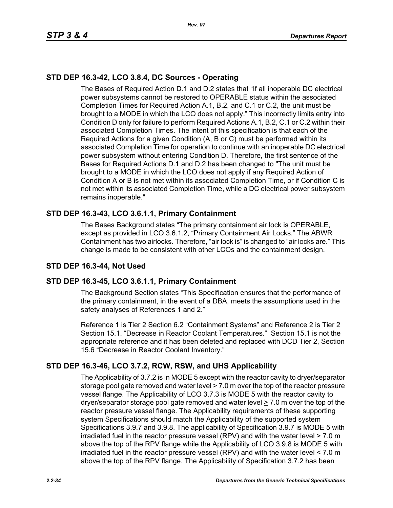# **STD DEP 16.3-42, LCO 3.8.4, DC Sources - Operating**

The Bases of Required Action D.1 and D.2 states that "If all inoperable DC electrical power subsystems cannot be restored to OPERABLE status within the associated Completion Times for Required Action A.1, B.2, and C.1 or C.2, the unit must be brought to a MODE in which the LCO does not apply." This incorrectly limits entry into Condition D only for failure to perform Required Actions A.1, B.2, C.1 or C.2 within their associated Completion Times. The intent of this specification is that each of the Required Actions for a given Condition (A, B or C) must be performed within its associated Completion Time for operation to continue with an inoperable DC electrical power subsystem without entering Condition D. Therefore, the first sentence of the Bases for Required Actions D.1 and D.2 has been changed to "The unit must be brought to a MODE in which the LCO does not apply if any Required Action of Condition A or B is not met within its associated Completion Time, or if Condition C is not met within its associated Completion Time, while a DC electrical power subsystem remains inoperable."

# **STD DEP 16.3-43, LCO 3.6.1.1, Primary Containment**

The Bases Background states "The primary containment air lock is OPERABLE, except as provided in LCO 3.6.1.2, "Primary Containment Air Locks." The ABWR Containment has two airlocks. Therefore, "air lock is" is changed to "air locks are." This change is made to be consistent with other LCOs and the containment design.

# **STD DEP 16.3-44, Not Used**

# **STD DEP 16.3-45, LCO 3.6.1.1, Primary Containment**

The Background Section states "This Specification ensures that the performance of the primary containment, in the event of a DBA, meets the assumptions used in the safety analyses of References 1 and 2."

Reference 1 is Tier 2 Section 6.2 "Containment Systems" and Reference 2 is Tier 2 Section 15.1. "Decrease in Reactor Coolant Temperatures." Section 15.1 is not the appropriate reference and it has been deleted and replaced with DCD Tier 2, Section 15.6 "Decrease in Reactor Coolant Inventory."

# **STD DEP 16.3-46, LCO 3.7.2, RCW, RSW, and UHS Applicability**

The Applicability of 3.7.2 is in MODE 5 except with the reactor cavity to dryer/separator storage pool gate removed and water level  $\geq 7.0$  m over the top of the reactor pressure vessel flange. The Applicability of LCO 3.7.3 is MODE 5 with the reactor cavity to dryer/separator storage pool gate removed and water level  $\geq 7.0$  m over the top of the reactor pressure vessel flange. The Applicability requirements of these supporting system Specifications should match the Applicability of the supported system Specifications 3.9.7 and 3.9.8. The applicability of Specification 3.9.7 is MODE 5 with irradiated fuel in the reactor pressure vessel (RPV) and with the water level > 7.0 m above the top of the RPV flange while the Applicability of LCO 3.9.8 is MODE 5 with irradiated fuel in the reactor pressure vessel (RPV) and with the water level < 7.0 m above the top of the RPV flange. The Applicability of Specification 3.7.2 has been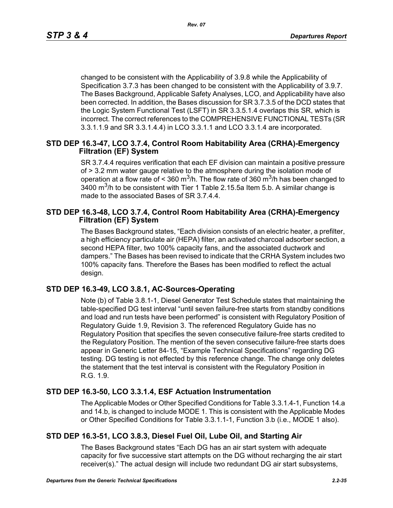changed to be consistent with the Applicability of 3.9.8 while the Applicability of Specification 3.7.3 has been changed to be consistent with the Applicability of 3.9.7. The Bases Background, Applicable Safety Analyses, LCO, and Applicability have also been corrected. In addition, the Bases discussion for SR 3.7.3.5 of the DCD states that the Logic System Functional Test (LSFT) in SR 3.3.5.1.4 overlaps this SR, which is incorrect. The correct references to the COMPREHENSIVE FUNCTIONAL TESTs (SR 3.3.1.1.9 and SR 3.3.1.4.4) in LCO 3.3.1.1 and LCO 3.3.1.4 are incorporated.

## **STD DEP 16.3-47, LCO 3.7.4, Control Room Habitability Area (CRHA)-Emergency Filtration (EF) System**

SR 3.7.4.4 requires verification that each EF division can maintain a positive pressure of > 3.2 mm water gauge relative to the atmosphere during the isolation mode of operation at a flow rate of < 360 m<sup>3</sup>/h. The flow rate of 360 m<sup>3</sup>/h has been changed to  $3400$  m<sup>3</sup>/h to be consistent with Tier 1 Table 2.15.5a Item 5.b. A similar change is made to the associated Bases of SR 3.7.4.4.

## **STD DEP 16.3-48, LCO 3.7.4, Control Room Habitability Area (CRHA)-Emergency Filtration (EF) System**

The Bases Background states, "Each division consists of an electric heater, a prefilter, a high efficiency particulate air (HEPA) filter, an activated charcoal adsorber section, a second HEPA filter, two 100% capacity fans, and the associated ductwork and dampers." The Bases has been revised to indicate that the CRHA System includes two 100% capacity fans. Therefore the Bases has been modified to reflect the actual design.

# **STD DEP 16.3-49, LCO 3.8.1, AC-Sources-Operating**

Note (b) of Table 3.8.1-1, Diesel Generator Test Schedule states that maintaining the table-specified DG test interval "until seven failure-free starts from standby conditions and load and run tests have been performed" is consistent with Regulatory Position of Regulatory Guide 1.9, Revision 3. The referenced Regulatory Guide has no Regulatory Position that specifies the seven consecutive failure-free starts credited to the Regulatory Position. The mention of the seven consecutive failure-free starts does appear in Generic Letter 84-15, "Example Technical Specifications" regarding DG testing. DG testing is not effected by this reference change. The change only deletes the statement that the test interval is consistent with the Regulatory Position in R.G. 1.9.

# **STD DEP 16.3-50, LCO 3.3.1.4, ESF Actuation Instrumentation**

The Applicable Modes or Other Specified Conditions for Table 3.3.1.4-1, Function 14.a and 14.b, is changed to include MODE 1. This is consistent with the Applicable Modes or Other Specified Conditions for Table 3.3.1.1-1, Function 3.b (i.e., MODE 1 also).

# **STD DEP 16.3-51, LCO 3.8.3, Diesel Fuel Oil, Lube Oil, and Starting Air**

The Bases Background states "Each DG has an air start system with adequate capacity for five successive start attempts on the DG without recharging the air start receiver(s)." The actual design will include two redundant DG air start subsystems,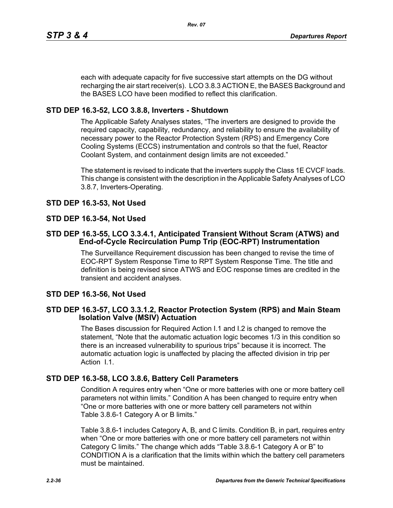each with adequate capacity for five successive start attempts on the DG without recharging the air start receiver(s). LCO 3.8.3 ACTION E, the BASES Background and the BASES LCO have been modified to reflect this clarification.

# **STD DEP 16.3-52, LCO 3.8.8, Inverters - Shutdown**

The Applicable Safety Analyses states, "The inverters are designed to provide the required capacity, capability, redundancy, and reliability to ensure the availability of necessary power to the Reactor Protection System (RPS) and Emergency Core Cooling Systems (ECCS) instrumentation and controls so that the fuel, Reactor Coolant System, and containment design limits are not exceeded."

The statement is revised to indicate that the inverters supply the Class 1E CVCF loads. This change is consistent with the description in the Applicable Safety Analyses of LCO 3.8.7, Inverters-Operating.

# **STD DEP 16.3-53, Not Used**

# **STD DEP 16.3-54, Not Used**

## **STD DEP 16.3-55, LCO 3.3.4.1, Anticipated Transient Without Scram (ATWS) and End-of-Cycle Recirculation Pump Trip (EOC-RPT) Instrumentation**

The Surveillance Requirement discussion has been changed to revise the time of EOC-RPT System Response Time to RPT System Response Time. The title and definition is being revised since ATWS and EOC response times are credited in the transient and accident analyses.

# **STD DEP 16.3-56, Not Used**

## **STD DEP 16.3-57, LCO 3.3.1.2, Reactor Protection System (RPS) and Main Steam Isolation Valve (MSIV) Actuation**

The Bases discussion for Required Action I.1 and I.2 is changed to remove the statement, "Note that the automatic actuation logic becomes 1/3 in this condition so there is an increased vulnerability to spurious trips" because it is incorrect. The automatic actuation logic is unaffected by placing the affected division in trip per Action I.1.

# **STD DEP 16.3-58, LCO 3.8.6, Battery Cell Parameters**

Condition A requires entry when "One or more batteries with one or more battery cell parameters not within limits." Condition A has been changed to require entry when "One or more batteries with one or more battery cell parameters not within Table 3.8.6-1 Category A or B limits."

Table 3.8.6-1 includes Category A, B, and C limits. Condition B, in part, requires entry when "One or more batteries with one or more battery cell parameters not within Category C limits." The change which adds "Table 3.8.6-1 Category A or B" to CONDITION A is a clarification that the limits within which the battery cell parameters must be maintained.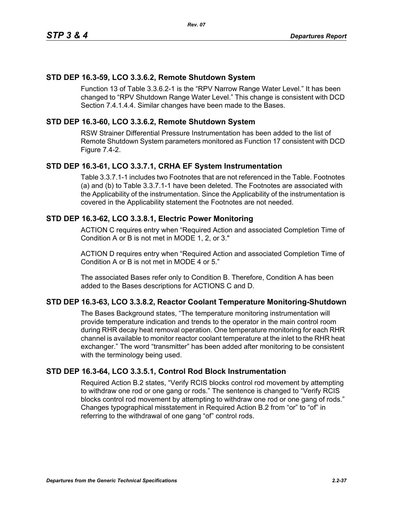## **STD DEP 16.3-59, LCO 3.3.6.2, Remote Shutdown System**

Function 13 of Table 3.3.6.2-1 is the "RPV Narrow Range Water Level." It has been changed to "RPV Shutdown Range Water Level." This change is consistent with DCD Section 7.4.1.4.4. Similar changes have been made to the Bases.

## **STD DEP 16.3-60, LCO 3.3.6.2, Remote Shutdown System**

RSW Strainer Differential Pressure Instrumentation has been added to the list of Remote Shutdown System parameters monitored as Function 17 consistent with DCD Figure 7.4-2.

## **STD DEP 16.3-61, LCO 3.3.7.1, CRHA EF System Instrumentation**

Table 3.3.7.1-1 includes two Footnotes that are not referenced in the Table. Footnotes (a) and (b) to Table 3.3.7.1-1 have been deleted. The Footnotes are associated with the Applicability of the instrumentation. Since the Applicability of the instrumentation is covered in the Applicability statement the Footnotes are not needed.

## **STD DEP 16.3-62, LCO 3.3.8.1, Electric Power Monitoring**

ACTION C requires entry when "Required Action and associated Completion Time of Condition A or B is not met in MODE 1, 2, or 3."

ACTION D requires entry when "Required Action and associated Completion Time of Condition A or B is not met in MODE 4 or 5."

The associated Bases refer only to Condition B. Therefore, Condition A has been added to the Bases descriptions for ACTIONS C and D.

## **STD DEP 16.3-63, LCO 3.3.8.2, Reactor Coolant Temperature Monitoring-Shutdown**

The Bases Background states, "The temperature monitoring instrumentation will provide temperature indication and trends to the operator in the main control room during RHR decay heat removal operation. One temperature monitoring for each RHR channel is available to monitor reactor coolant temperature at the inlet to the RHR heat exchanger." The word "transmitter" has been added after monitoring to be consistent with the terminology being used.

## **STD DEP 16.3-64, LCO 3.3.5.1, Control Rod Block Instrumentation**

Required Action B.2 states, "Verify RCIS blocks control rod movement by attempting to withdraw one rod or one gang or rods." The sentence is changed to "Verify RCIS blocks control rod movement by attempting to withdraw one rod or one gang of rods." Changes typographical misstatement in Required Action B.2 from "or" to "of" in referring to the withdrawal of one gang "of" control rods.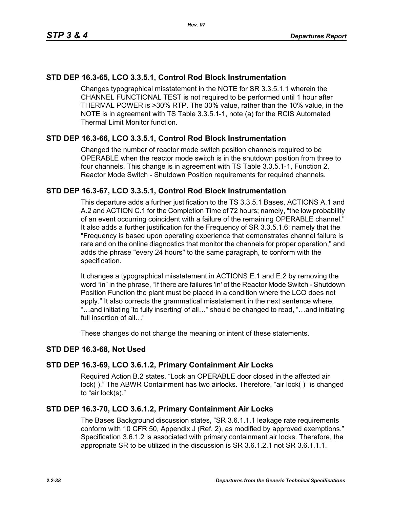# **STD DEP 16.3-65, LCO 3.3.5.1, Control Rod Block Instrumentation**

Changes typographical misstatement in the NOTE for SR 3.3.5.1.1 wherein the CHANNEL FUNCTIONAL TEST is not required to be performed until 1 hour after THERMAL POWER is >30% RTP. The 30% value, rather than the 10% value, in the NOTE is in agreement with TS Table 3.3.5.1-1, note (a) for the RCIS Automated Thermal Limit Monitor function.

# **STD DEP 16.3-66, LCO 3.3.5.1, Control Rod Block Instrumentation**

Changed the number of reactor mode switch position channels required to be OPERABLE when the reactor mode switch is in the shutdown position from three to four channels. This change is in agreement with TS Table 3.3.5.1-1, Function 2, Reactor Mode Switch - Shutdown Position requirements for required channels.

## **STD DEP 16.3-67, LCO 3.3.5.1, Control Rod Block Instrumentation**

This departure adds a further justification to the TS 3.3.5.1 Bases, ACTIONS A.1 and A.2 and ACTION C.1 for the Completion Time of 72 hours; namely, "the low probability of an event occurring coincident with a failure of the remaining OPERABLE channel." It also adds a further justification for the Frequency of SR 3.3.5.1.6; namely that the "Frequency is based upon operating experience that demonstrates channel failure is rare and on the online diagnostics that monitor the channels for proper operation," and adds the phrase "every 24 hours" to the same paragraph, to conform with the specification.

It changes a typographical misstatement in ACTIONS E.1 and E.2 by removing the word "in" in the phrase, "If there are failures 'in' of the Reactor Mode Switch - Shutdown Position Function the plant must be placed in a condition where the LCO does not apply." It also corrects the grammatical misstatement in the next sentence where, "…and initiating 'to fully inserting' of all…" should be changed to read, "…and initiating full insertion of all…"

These changes do not change the meaning or intent of these statements.

## **STD DEP 16.3-68, Not Used**

## **STD DEP 16.3-69, LCO 3.6.1.2, Primary Containment Air Locks**

Required Action B.2 states, "Lock an OPERABLE door closed in the affected air lock( )." The ABWR Containment has two airlocks. Therefore, "air lock( )" is changed to "air lock(s)."

## **STD DEP 16.3-70, LCO 3.6.1.2, Primary Containment Air Locks**

The Bases Background discussion states, "SR 3.6.1.1.1 leakage rate requirements conform with 10 CFR 50, Appendix J (Ref. 2), as modified by approved exemptions." Specification 3.6.1.2 is associated with primary containment air locks. Therefore, the appropriate SR to be utilized in the discussion is SR 3.6.1.2.1 not SR 3.6.1.1.1.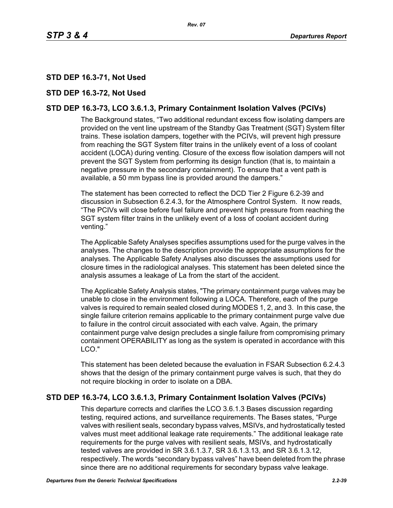# **STD DEP 16.3-71, Not Used**

## **STD DEP 16.3-72, Not Used**

# **STD DEP 16.3-73, LCO 3.6.1.3, Primary Containment Isolation Valves (PCIVs)**

The Background states, "Two additional redundant excess flow isolating dampers are provided on the vent line upstream of the Standby Gas Treatment (SGT) System filter trains. These isolation dampers, together with the PCIVs, will prevent high pressure from reaching the SGT System filter trains in the unlikely event of a loss of coolant accident (LOCA) during venting. Closure of the excess flow isolation dampers will not prevent the SGT System from performing its design function (that is, to maintain a negative pressure in the secondary containment). To ensure that a vent path is available, a 50 mm bypass line is provided around the dampers."

The statement has been corrected to reflect the DCD Tier 2 Figure 6.2-39 and discussion in Subsection 6.2.4.3, for the Atmosphere Control System. It now reads, "The PCIVs will close before fuel failure and prevent high pressure from reaching the SGT system filter trains in the unlikely event of a loss of coolant accident during venting."

The Applicable Safety Analyses specifies assumptions used for the purge valves in the analyses. The changes to the description provide the appropriate assumptions for the analyses. The Applicable Safety Analyses also discusses the assumptions used for closure times in the radiological analyses. This statement has been deleted since the analysis assumes a leakage of La from the start of the accident.

The Applicable Safety Analysis states, "The primary containment purge valves may be unable to close in the environment following a LOCA. Therefore, each of the purge valves is required to remain sealed closed during MODES 1, 2, and 3. In this case, the single failure criterion remains applicable to the primary containment purge valve due to failure in the control circuit associated with each valve. Again, the primary containment purge valve design precludes a single failure from compromising primary containment OPERABILITY as long as the system is operated in accordance with this LCO."

This statement has been deleted because the evaluation in FSAR Subsection 6.2.4.3 shows that the design of the primary containment purge valves is such, that they do not require blocking in order to isolate on a DBA.

## **STD DEP 16.3-74, LCO 3.6.1.3, Primary Containment Isolation Valves (PCIVs)**

This departure corrects and clarifies the LCO 3.6.1.3 Bases discussion regarding testing, required actions, and surveillance requirements. The Bases states, "Purge valves with resilient seals, secondary bypass valves, MSIVs, and hydrostatically tested valves must meet additional leakage rate requirements." The additional leakage rate requirements for the purge valves with resilient seals, MSIVs, and hydrostatically tested valves are provided in SR 3.6.1.3.7, SR 3.6.1.3.13, and SR 3.6.1.3.12, respectively. The words "secondary bypass valves" have been deleted from the phrase since there are no additional requirements for secondary bypass valve leakage.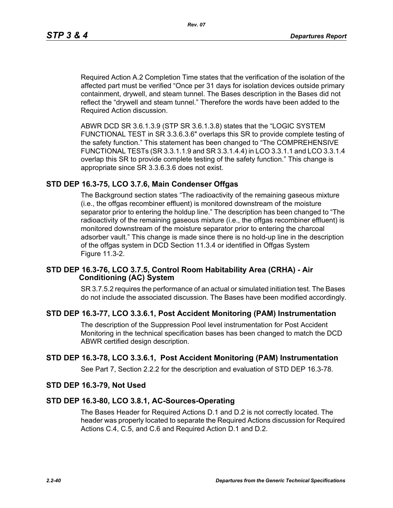Required Action A.2 Completion Time states that the verification of the isolation of the affected part must be verified "Once per 31 days for isolation devices outside primary containment, drywell, and steam tunnel. The Bases description in the Bases did not reflect the "drywell and steam tunnel." Therefore the words have been added to the Required Action discussion.

ABWR DCD SR 3.6.1.3.9 (STP SR 3.6.1.3.8) states that the "LOGIC SYSTEM FUNCTIONAL TEST in SR 3.3.6.3.6" overlaps this SR to provide complete testing of the safety function." This statement has been changed to "The COMPREHENSIVE FUNCTIONAL TESTs (SR 3.3.1.1.9 and SR 3.3.1.4.4) in LCO 3.3.1.1 and LCO 3.3.1.4 overlap this SR to provide complete testing of the safety function." This change is appropriate since SR 3.3.6.3.6 does not exist.

## **STD DEP 16.3-75, LCO 3.7.6, Main Condenser Offgas**

The Background section states "The radioactivity of the remaining gaseous mixture (i.e., the offgas recombiner effluent) is monitored downstream of the moisture separator prior to entering the holdup line." The description has been changed to "The radioactivity of the remaining gaseous mixture (i.e., the offgas recombiner effluent) is monitored downstream of the moisture separator prior to entering the charcoal adsorber vault." This change is made since there is no hold-up line in the description of the offgas system in DCD Section 11.3.4 or identified in Offgas System Figure 11.3-2.

#### **STD DEP 16.3-76, LCO 3.7.5, Control Room Habitability Area (CRHA) - Air Conditioning (AC) System**

SR 3.7.5.2 requires the performance of an actual or simulated initiation test. The Bases do not include the associated discussion. The Bases have been modified accordingly.

## **STD DEP 16.3-77, LCO 3.3.6.1, Post Accident Monitoring (PAM) Instrumentation**

The description of the Suppression Pool level instrumentation for Post Accident Monitoring in the technical specification bases has been changed to match the DCD ABWR certified design description.

## **STD DEP 16.3-78, LCO 3.3.6.1, Post Accident Monitoring (PAM) Instrumentation**

See Part 7, Section 2.2.2 for the description and evaluation of STD DEP 16.3-78.

#### **STD DEP 16.3-79, Not Used**

#### **STD DEP 16.3-80, LCO 3.8.1, AC-Sources-Operating**

The Bases Header for Required Actions D.1 and D.2 is not correctly located. The header was properly located to separate the Required Actions discussion for Required Actions C.4, C.5, and C.6 and Required Action D.1 and D.2.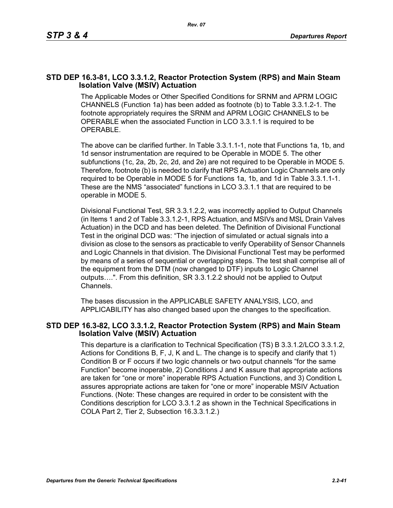## **STD DEP 16.3-81, LCO 3.3.1.2, Reactor Protection System (RPS) and Main Steam Isolation Valve (MSIV) Actuation**

The Applicable Modes or Other Specified Conditions for SRNM and APRM LOGIC CHANNELS (Function 1a) has been added as footnote (b) to Table 3.3.1.2-1. The footnote appropriately requires the SRNM and APRM LOGIC CHANNELS to be OPERABLE when the associated Function in LCO 3.3.1.1 is required to be OPERABLE.

The above can be clarified further. In Table 3.3.1.1-1, note that Functions 1a, 1b, and 1d sensor instrumentation are required to be Operable in MODE 5. The other subfunctions (1c, 2a, 2b, 2c, 2d, and 2e) are not required to be Operable in MODE 5. Therefore, footnote (b) is needed to clarify that RPS Actuation Logic Channels are only required to be Operable in MODE 5 for Functions 1a, 1b, and 1d in Table 3.3.1.1-1. These are the NMS "associated" functions in LCO 3.3.1.1 that are required to be operable in MODE 5.

Divisional Functional Test, SR 3.3.1.2.2, was incorrectly applied to Output Channels (in Items 1 and 2 of Table 3.3.1.2-1, RPS Actuation, and MSIVs and MSL Drain Valves Actuation) in the DCD and has been deleted. The Definition of Divisional Functional Test in the original DCD was: "The injection of simulated or actual signals into a division as close to the sensors as practicable to verify Operability of Sensor Channels and Logic Channels in that division. The Divisional Functional Test may be performed by means of a series of sequential or overlapping steps. The test shall comprise all of the equipment from the DTM (now changed to DTF) inputs to Logic Channel outputs….". From this definition, SR 3.3.1.2.2 should not be applied to Output Channels.

The bases discussion in the APPLICABLE SAFETY ANALYSIS, LCO, and APPLICABILITY has also changed based upon the changes to the specification.

#### **STD DEP 16.3-82, LCO 3.3.1.2, Reactor Protection System (RPS) and Main Steam Isolation Valve (MSIV) Actuation**

This departure is a clarification to Technical Specification (TS) B 3.3.1.2/LCO 3.3.1.2, Actions for Conditions B, F, J, K and L. The change is to specify and clarify that 1) Condition B or F occurs if two logic channels or two output channels "for the same Function" become inoperable, 2) Conditions J and K assure that appropriate actions are taken for "one or more" inoperable RPS Actuation Functions, and 3) Condition L assures appropriate actions are taken for "one or more" inoperable MSIV Actuation Functions. (Note: These changes are required in order to be consistent with the Conditions description for LCO 3.3.1.2 as shown in the Technical Specifications in COLA Part 2, Tier 2, Subsection 16.3.3.1.2.)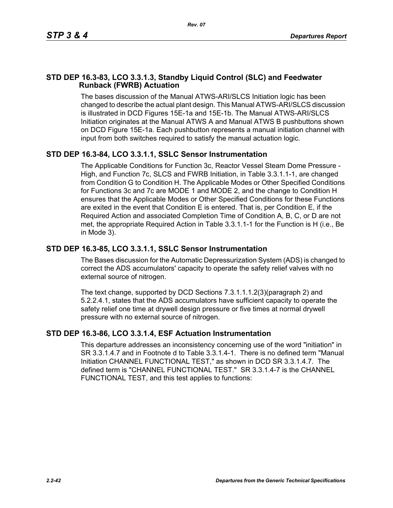# **STD DEP 16.3-83, LCO 3.3.1.3, Standby Liquid Control (SLC) and Feedwater Runback (FWRB) Actuation**

The bases discussion of the Manual ATWS-ARI/SLCS Initiation logic has been changed to describe the actual plant design. This Manual ATWS-ARI/SLCS discussion is illustrated in DCD Figures 15E-1a and 15E-1b. The Manual ATWS-ARI/SLCS Initiation originates at the Manual ATWS A and Manual ATWS B pushbuttons shown on DCD Figure 15E-1a. Each pushbutton represents a manual initiation channel with input from both switches required to satisfy the manual actuation logic.

# **STD DEP 16.3-84, LCO 3.3.1.1, SSLC Sensor Instrumentation**

The Applicable Conditions for Function 3c, Reactor Vessel Steam Dome Pressure - High, and Function 7c, SLCS and FWRB Initiation, in Table 3.3.1.1-1, are changed from Condition G to Condition H. The Applicable Modes or Other Specified Conditions for Functions 3c and 7c are MODE 1 and MODE 2, and the change to Condition H ensures that the Applicable Modes or Other Specified Conditions for these Functions are exited in the event that Condition E is entered. That is, per Condition E, if the Required Action and associated Completion Time of Condition A, B, C, or D are not met, the appropriate Required Action in Table 3.3.1.1-1 for the Function is H (i.e., Be in Mode 3).

# **STD DEP 16.3-85, LCO 3.3.1.1, SSLC Sensor Instrumentation**

The Bases discussion for the Automatic Depressurization System (ADS) is changed to correct the ADS accumulators' capacity to operate the safety relief valves with no external source of nitrogen.

The text change, supported by DCD Sections 7.3.1.1.1.2(3)(paragraph 2) and 5.2.2.4.1, states that the ADS accumulators have sufficient capacity to operate the safety relief one time at drywell design pressure or five times at normal drywell pressure with no external source of nitrogen.

# **STD DEP 16.3-86, LCO 3.3.1.4, ESF Actuation Instrumentation**

This departure addresses an inconsistency concerning use of the word "initiation" in SR 3.3.1.4.7 and in Footnote d to Table 3.3.1.4-1. There is no defined term "Manual Initiation CHANNEL FUNCTIONAL TEST," as shown in DCD SR 3.3.1.4.7. The defined term is "CHANNEL FUNCTIONAL TEST." SR 3.3.1.4-7 is the CHANNEL FUNCTIONAL TEST, and this test applies to functions: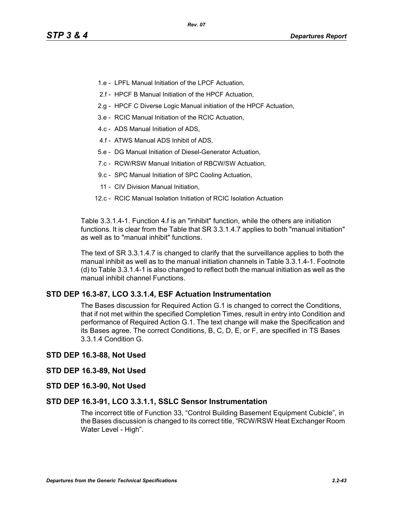- 1.e LPFL Manual Initiation of the LPCF Actuation,
- 2.f HPCF B Manual Initiation of the HPCF Actuation,
- 2.g HPCF C Diverse Logic Manual initiation of the HPCF Actuation,
- 3.e RCIC Manual Initiation of the RCIC Actuation,
- 4.c ADS Manual Initiation of ADS,
- 4.f ATWS Manual ADS Inhibit of ADS,
- 5.e DG Manual Initiation of Diesel-Generator Actuation,
- 7.c RCW/RSW Manual Initiation of RBCW/SW Actuation,
- 9.c SPC Manual Initiation of SPC Cooling Actuation,
- 11 CIV Division Manual Initiation,
- 12.c RCIC Manual Isolation Initiation of RCIC Isolation Actuation

Table 3.3.1.4-1. Function 4.f is an "inhibit" function, while the others are initiation functions. It is clear from the Table that SR 3.3.1.4.7 applies to both "manual initiation" as well as to "manual inhibit" functions.

The text of SR 3.3.1.4.7 is changed to clarify that the surveillance applies to both the manual inhibit as well as to the manual initiation channels in Table 3.3.1.4-1. Footnote (d) to Table 3.3.1.4-1 is also changed to reflect both the manual initiation as well as the manual inhibit channel Functions.

## **STD DEP 16.3-87, LCO 3.3.1.4, ESF Actuation Instrumentation**

The Bases discussion for Required Action G.1 is changed to correct the Conditions, that if not met within the specified Completion Times, result in entry into Condition and performance of Required Action G.1. The text change will make the Specification and its Bases agree. The correct Conditions, B, C, D, E, or F, are specified in TS Bases 3.3.1.4 Condition G.

#### **STD DEP 16.3-88, Not Used**

#### **STD DEP 16.3-89, Not Used**

**STD DEP 16.3-90, Not Used**

#### **STD DEP 16.3-91, LCO 3.3.1.1, SSLC Sensor Instrumentation**

The incorrect title of Function 33, "Control Building Basement Equipment Cubicle", in the Bases discussion is changed to its correct title, "RCW/RSW Heat Exchanger Room Water Level - High".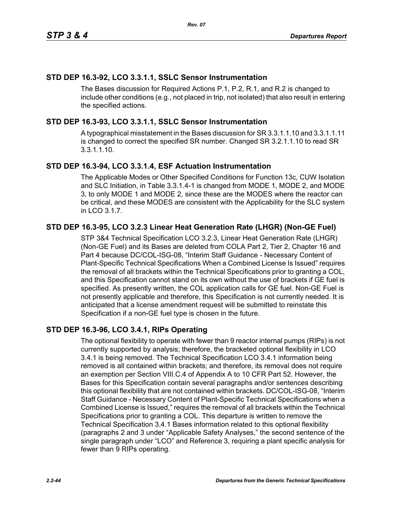# **STD DEP 16.3-92, LCO 3.3.1.1, SSLC Sensor Instrumentation**

The Bases discussion for Required Actions P.1, P.2, R.1, and R.2 is changed to include other conditions (e.g., not placed in trip, not isolated) that also result in entering the specified actions.

# **STD DEP 16.3-93, LCO 3.3.1.1, SSLC Sensor Instrumentation**

A typographical misstatement in the Bases discussion for SR 3.3.1.1.10 and 3.3.1.1.11 is changed to correct the specified SR number. Changed SR 3.2.1.1.10 to read SR 3.3.1.1.10.

# **STD DEP 16.3-94, LCO 3.3.1.4, ESF Actuation Instrumentation**

The Applicable Modes or Other Specified Conditions for Function 13c, CUW Isolation and SLC Initiation, in Table 3.3.1.4-1 is changed from MODE 1, MODE 2, and MODE 3, to only MODE 1 and MODE 2, since these are the MODES where the reactor can be critical, and these MODES are consistent with the Applicability for the SLC system in LCO 3.1.7.

# **STD DEP 16.3-95, LCO 3.2.3 Linear Heat Generation Rate (LHGR) (Non-GE Fuel)**

STP 3&4 Technical Specification LCO 3.2.3, Linear Heat Generation Rate (LHGR) (Non-GE Fuel) and its Bases are deleted from COLA Part 2, Tier 2, Chapter 16 and Part 4 because DC/COL-ISG-08, "Interim Staff Guidance - Necessary Content of Plant-Specific Technical Specifications When a Combined License Is Issued" requires the removal of all brackets within the Technical Specifications prior to granting a COL, and this Specification cannot stand on its own without the use of brackets if GE fuel is specified. As presently written, the COL application calls for GE fuel. Non-GE Fuel is not presently applicable and therefore, this Specification is not currently needed. It is anticipated that a license amendment request will be submitted to reinstate this Specification if a non-GE fuel type is chosen in the future.

# **STD DEP 16.3-96, LCO 3.4.1, RIPs Operating**

The optional flexibility to operate with fewer than 9 reactor internal pumps (RIPs) is not currently supported by analysis; therefore, the bracketed optional flexibility in LCO 3.4.1 is being removed. The Technical Specification LCO 3.4.1 information being removed is all contained within brackets; and therefore, its removal does not require an exemption per Section VIII.C.4 of Appendix A to 10 CFR Part 52. However, the Bases for this Specification contain several paragraphs and/or sentences describing this optional flexibility that are not contained within brackets. DC/COL-ISG-08, "Interim Staff Guidance - Necessary Content of Plant-Specific Technical Specifications when a Combined License is Issued," requires the removal of all brackets within the Technical Specifications prior to granting a COL. This departure is written to remove the Technical Specification 3.4.1 Bases information related to this optional flexibility (paragraphs 2 and 3 under "Applicable Safety Analyses," the second sentence of the single paragraph under "LCO" and Reference 3, requiring a plant specific analysis for fewer than 9 RIPs operating.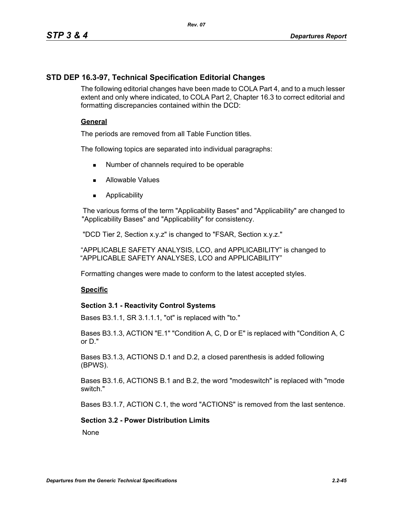# **STD DEP 16.3-97, Technical Specification Editorial Changes**

The following editorial changes have been made to COLA Part 4, and to a much lesser extent and only where indicated, to COLA Part 2, Chapter 16.3 to correct editorial and formatting discrepancies contained within the DCD:

## **General**

The periods are removed from all Table Function titles.

The following topics are separated into individual paragraphs:

- Number of channels required to be operable
- **Allowable Values**
- **Applicability**

The various forms of the term "Applicability Bases" and "Applicability" are changed to "Applicability Bases" and "Applicability" for consistency.

"DCD Tier 2, Section x.y.z" is changed to "FSAR, Section x.y.z."

"APPLICABLE SAFETY ANALYSIS, LCO, and APPLICABILITY" is changed to "APPLICABLE SAFETY ANALYSES, LCO and APPLICABILITY"

Formatting changes were made to conform to the latest accepted styles.

## **Specific**

## **Section 3.1 - Reactivity Control Systems**

Bases B3.1.1, SR 3.1.1.1, "ot" is replaced with "to."

Bases B3.1.3, ACTION "E.1" "Condition A, C, D or E" is replaced with "Condition A, C or D."

Bases B3.1.3, ACTIONS D.1 and D.2, a closed parenthesis is added following (BPWS).

Bases B3.1.6, ACTIONS B.1 and B.2, the word "modeswitch" is replaced with "mode switch."

Bases B3.1.7, ACTION C.1, the word "ACTIONS" is removed from the last sentence.

## **Section 3.2 - Power Distribution Limits**

**None**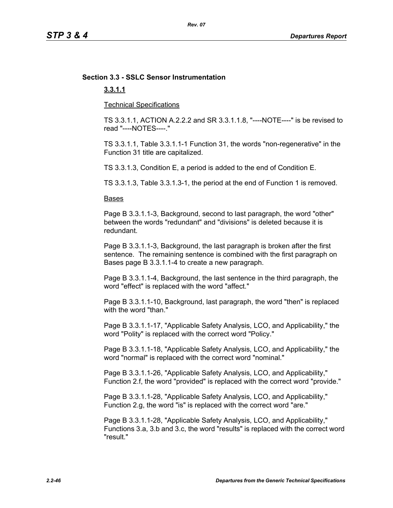# **Section 3.3 - SSLC Sensor Instrumentation**

# **3.3.1.1**

Technical Specifications

TS 3.3.1.1, ACTION A.2.2.2 and SR 3.3.1.1.8, "----NOTE----" is be revised to read "----NOTES----."

TS 3.3.1.1, Table 3.3.1.1-1 Function 31, the words "non-regenerative" in the Function 31 title are capitalized.

TS 3.3.1.3, Condition E, a period is added to the end of Condition E.

TS 3.3.1.3, Table 3.3.1.3-1, the period at the end of Function 1 is removed.

#### Bases

Page B 3.3.1.1-3, Background, second to last paragraph, the word "other" between the words "redundant" and "divisions" is deleted because it is redundant.

Page B 3.3.1.1-3, Background, the last paragraph is broken after the first sentence. The remaining sentence is combined with the first paragraph on Bases page B 3.3.1.1-4 to create a new paragraph.

Page B 3.3.1.1-4, Background, the last sentence in the third paragraph, the word "effect" is replaced with the word "affect."

Page B 3.3.1.1-10, Background, last paragraph, the word "then" is replaced with the word "than."

Page B 3.3.1.1-17, "Applicable Safety Analysis, LCO, and Applicability," the word "Polity" is replaced with the correct word "Policy."

Page B 3.3.1.1-18, "Applicable Safety Analysis, LCO, and Applicability," the word "normal" is replaced with the correct word "nominal."

Page B 3.3.1.1-26, "Applicable Safety Analysis, LCO, and Applicability," Function 2.f, the word "provided" is replaced with the correct word "provide."

Page B 3.3.1.1-28, "Applicable Safety Analysis, LCO, and Applicability," Function 2.g, the word "is" is replaced with the correct word "are."

Page B 3.3.1.1-28, "Applicable Safety Analysis, LCO, and Applicability," Functions 3.a, 3.b and 3.c, the word "results" is replaced with the correct word "result."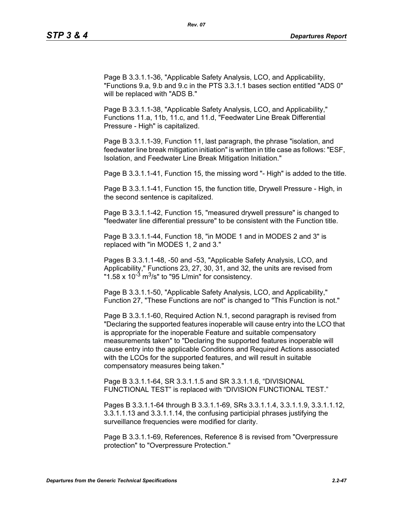Page B 3.3.1.1-36, "Applicable Safety Analysis, LCO, and Applicability, "Functions 9.a, 9.b and 9.c in the PTS 3.3.1.1 bases section entitled "ADS 0" will be replaced with "ADS B."

Page B 3.3.1.1-38, "Applicable Safety Analysis, LCO, and Applicability," Functions 11.a, 11b, 11.c, and 11.d, "Feedwater Line Break Differential Pressure - High" is capitalized.

Page B 3.3.1.1-39, Function 11, last paragraph, the phrase "isolation, and feedwater line break mitigation initiation" is written in title case as follows: "ESF, Isolation, and Feedwater Line Break Mitigation Initiation."

Page B 3.3.1.1-41, Function 15, the missing word "- High" is added to the title.

Page B 3.3.1.1-41, Function 15, the function title, Drywell Pressure - High, in the second sentence is capitalized.

Page B 3.3.1.1-42, Function 15, "measured drywell pressure" is changed to "feedwater line differential pressure" to be consistent with the Function title.

Page B 3.3.1.1-44, Function 18, "in MODE 1 and in MODES 2 and 3" is replaced with "in MODES 1, 2 and 3."

Pages B 3.3.1.1-48, -50 and -53, "Applicable Safety Analysis, LCO, and Applicability," Functions 23, 27, 30, 31, and 32, the units are revised from "1.58 x  $10^{-3}$  m<sup>3</sup>/s" to "95 L/min" for consistency.

Page B 3.3.1.1-50, "Applicable Safety Analysis, LCO, and Applicability," Function 27, "These Functions are not" is changed to "This Function is not."

Page B 3.3.1.1-60, Required Action N.1, second paragraph is revised from "Declaring the supported features inoperable will cause entry into the LCO that is appropriate for the inoperable Feature and suitable compensatory measurements taken" to "Declaring the supported features inoperable will cause entry into the applicable Conditions and Required Actions associated with the LCOs for the supported features, and will result in suitable compensatory measures being taken."

Page B 3.3.1.1-64, SR 3.3.1.1.5 and SR 3.3.1.1.6, "DIVISIONAL FUNCTIONAL TEST" is replaced with "DIVISION FUNCTIONAL TEST."

Pages B 3.3.1.1-64 through B 3.3.1.1-69, SRs 3.3.1.1.4, 3.3.1.1.9, 3.3.1.1.12, 3.3.1.1.13 and 3.3.1.1.14, the confusing participial phrases justifying the surveillance frequencies were modified for clarity.

Page B 3.3.1.1-69, References, Reference 8 is revised from "Overpressure protection" to "Overpressure Protection."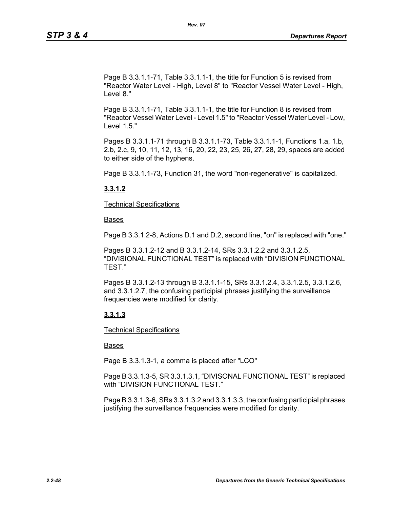Page B 3.3.1.1-71, Table 3.3.1.1-1, the title for Function 5 is revised from "Reactor Water Level - High, Level 8" to "Reactor Vessel Water Level - High, Level 8."

Page B 3.3.1.1-71, Table 3.3.1.1-1, the title for Function 8 is revised from "Reactor Vessel Water Level - Level 1.5" to "Reactor Vessel Water Level - Low, Level 1.5."

Pages B 3.3.1.1-71 through B 3.3.1.1-73, Table 3.3.1.1-1, Functions 1.a, 1.b, 2.b, 2.c, 9, 10, 11, 12, 13, 16, 20, 22, 23, 25, 26, 27, 28, 29, spaces are added to either side of the hyphens.

Page B 3.3.1.1-73, Function 31, the word "non-regenerative" is capitalized.

## **3.3.1.2**

Technical Specifications

Bases

Page B 3.3.1.2-8, Actions D.1 and D.2, second line, "on" is replaced with "one."

Pages B 3.3.1.2-12 and B 3.3.1.2-14, SRs 3.3.1.2.2 and 3.3.1.2.5, "DIVISIONAL FUNCTIONAL TEST" is replaced with "DIVISION FUNCTIONAL TEST."

Pages B 3.3.1.2-13 through B 3.3.1.1-15, SRs 3.3.1.2.4, 3.3.1.2.5, 3.3.1.2.6, and 3.3.1.2.7, the confusing participial phrases justifying the surveillance frequencies were modified for clarity.

## **3.3.1.3**

Technical Specifications

## Bases

Page B 3.3.1.3-1, a comma is placed after "LCO"

Page B 3.3.1.3-5, SR 3.3.1.3.1, "DIVISONAL FUNCTIONAL TEST" is replaced with "DIVISION FUNCTIONAL TEST."

Page B 3.3.1.3-6, SRs 3.3.1.3.2 and 3.3.1.3.3, the confusing participial phrases justifying the surveillance frequencies were modified for clarity.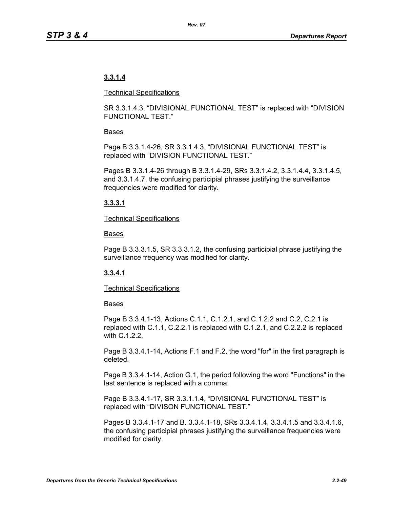# **3.3.1.4**

#### Technical Specifications

SR 3.3.1.4.3, "DIVISIONAL FUNCTIONAL TEST" is replaced with "DIVISION FUNCTIONAL TEST."

## Bases

Page B 3.3.1.4-26, SR 3.3.1.4.3, "DIVISIONAL FUNCTIONAL TEST" is replaced with "DIVISION FUNCTIONAL TEST."

Pages B 3.3.1.4-26 through B 3.3.1.4-29, SRs 3.3.1.4.2, 3.3.1.4.4, 3.3.1.4.5, and 3.3.1.4.7, the confusing participial phrases justifying the surveillance frequencies were modified for clarity.

# **3.3.3.1**

## Technical Specifications

## Bases

Page B 3.3.3.1.5, SR 3.3.3.1.2, the confusing participial phrase justifying the surveillance frequency was modified for clarity.

# **3.3.4.1**

## Technical Specifications

## **Bases**

Page B 3.3.4.1-13, Actions C.1.1, C.1.2.1, and C.1.2.2 and C.2, C.2.1 is replaced with C.1.1, C.2.2.1 is replaced with C.1.2.1, and C.2.2.2 is replaced with C.1.2.2.

Page B 3.3.4.1-14, Actions F.1 and F.2, the word "for" in the first paragraph is deleted.

Page B 3.3.4.1-14, Action G.1, the period following the word "Functions" in the last sentence is replaced with a comma.

Page B 3.3.4.1-17, SR 3.3.1.1.4, "DIVISIONAL FUNCTIONAL TEST" is replaced with "DIVISON FUNCTIONAL TEST."

Pages B 3.3.4.1-17 and B. 3.3.4.1-18, SRs 3.3.4.1.4, 3.3.4.1.5 and 3.3.4.1.6, the confusing participial phrases justifying the surveillance frequencies were modified for clarity.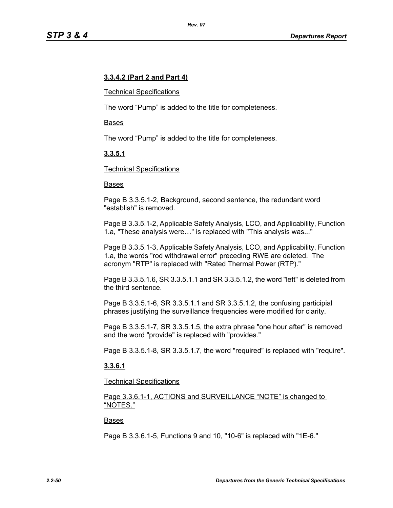## **3.3.4.2 (Part 2 and Part 4)**

#### Technical Specifications

The word "Pump" is added to the title for completeness.

#### Bases

The word "Pump" is added to the title for completeness.

## **3.3.5.1**

#### Technical Specifications

#### Bases

Page B 3.3.5.1-2, Background, second sentence, the redundant word "establish" is removed.

Page B 3.3.5.1-2, Applicable Safety Analysis, LCO, and Applicability, Function 1.a, "These analysis were…" is replaced with "This analysis was..."

Page B 3.3.5.1-3, Applicable Safety Analysis, LCO, and Applicability, Function 1.a, the words "rod withdrawal error" preceding RWE are deleted. The acronym "RTP" is replaced with "Rated Thermal Power (RTP)."

Page B 3.3.5.1.6, SR 3.3.5.1.1 and SR 3.3.5.1.2, the word "left" is deleted from the third sentence.

Page B 3.3.5.1-6, SR 3.3.5.1.1 and SR 3.3.5.1.2, the confusing participial phrases justifying the surveillance frequencies were modified for clarity.

Page B 3.3.5.1-7, SR 3.3.5.1.5, the extra phrase "one hour after" is removed and the word "provide" is replaced with "provides."

Page B 3.3.5.1-8, SR 3.3.5.1.7, the word "required" is replaced with "require".

## **3.3.6.1**

Technical Specifications

Page 3.3.6.1-1, ACTIONS and SURVEILLANCE "NOTE" is changed to "NOTES."

#### Bases

Page B 3.3.6.1-5, Functions 9 and 10, "10-6" is replaced with "1E-6."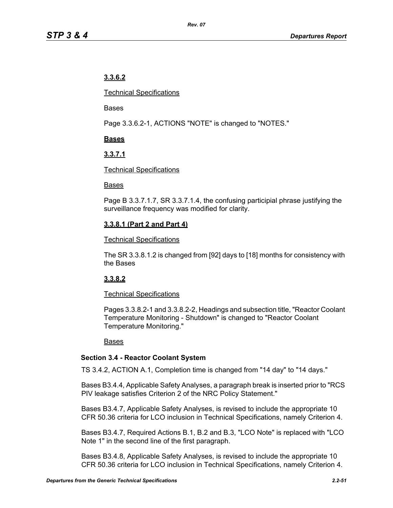# **3.3.6.2**

Technical Specifications

Bases

Page 3.3.6.2-1, ACTIONS "NOTE" is changed to "NOTES."

# **Bases**

# **3.3.7.1**

## Technical Specifications

## Bases

Page B 3.3.7.1.7, SR 3.3.7.1.4, the confusing participial phrase justifying the surveillance frequency was modified for clarity.

# **3.3.8.1 (Part 2 and Part 4)**

## Technical Specifications

The SR 3.3.8.1.2 is changed from [92] days to [18] months for consistency with the Bases

# **3.3.8.2**

# Technical Specifications

Pages 3.3.8.2-1 and 3.3.8.2-2, Headings and subsection title, "Reactor Coolant Temperature Monitoring - Shutdown" is changed to "Reactor Coolant Temperature Monitoring."

## Bases

# **Section 3.4 - Reactor Coolant System**

TS 3.4.2, ACTION A.1, Completion time is changed from "14 day" to "14 days."

Bases B3.4.4, Applicable Safety Analyses, a paragraph break is inserted prior to "RCS PIV leakage satisfies Criterion 2 of the NRC Policy Statement."

Bases B3.4.7, Applicable Safety Analyses, is revised to include the appropriate 10 CFR 50.36 criteria for LCO inclusion in Technical Specifications, namely Criterion 4.

Bases B3.4.7, Required Actions B.1, B.2 and B.3, "LCO Note" is replaced with "LCO Note 1" in the second line of the first paragraph.

Bases B3.4.8, Applicable Safety Analyses, is revised to include the appropriate 10 CFR 50.36 criteria for LCO inclusion in Technical Specifications, namely Criterion 4.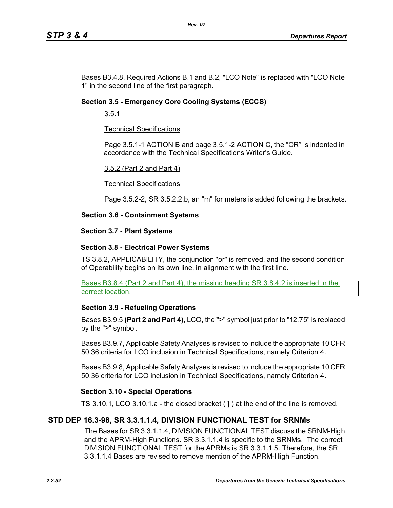Bases B3.4.8, Required Actions B.1 and B.2, "LCO Note" is replaced with "LCO Note 1" in the second line of the first paragraph.

## **Section 3.5 - Emergency Core Cooling Systems (ECCS)**

3.5.1

## Technical Specifications

Page 3.5.1-1 ACTION B and page 3.5.1-2 ACTION C, the "OR" is indented in accordance with the Technical Specifications Writer's Guide.

#### 3.5.2 (Part 2 and Part 4)

#### Technical Specifications

Page 3.5.2-2, SR 3.5.2.2.b, an "m" for meters is added following the brackets.

## **Section 3.6 - Containment Systems**

#### **Section 3.7 - Plant Systems**

## **Section 3.8 - Electrical Power Systems**

TS 3.8.2, APPLICABILITY, the conjunction "or" is removed, and the second condition of Operability begins on its own line, in alignment with the first line.

Bases B3.8.4 (Part 2 and Part 4), the missing heading SR 3.8.4.2 is inserted in the correct location.

## **Section 3.9 - Refueling Operations**

Bases B3.9.5 **(Part 2 and Part 4)**, LCO, the ">" symbol just prior to "12.75" is replaced by the "≥" symbol.

Bases B3.9.7, Applicable Safety Analyses is revised to include the appropriate 10 CFR 50.36 criteria for LCO inclusion in Technical Specifications, namely Criterion 4.

Bases B3.9.8, Applicable Safety Analyses is revised to include the appropriate 10 CFR 50.36 criteria for LCO inclusion in Technical Specifications, namely Criterion 4.

## **Section 3.10 - Special Operations**

TS 3.10.1, LCO 3.10.1.a - the closed bracket ( ] ) at the end of the line is removed.

# **STD DEP 16.3-98, SR 3.3.1.1.4, DIVISION FUNCTIONAL TEST for SRNMs**

The Bases for SR 3.3.1.1.4, DIVISION FUNCTIONAL TEST discuss the SRNM-High and the APRM-High Functions. SR 3.3.1.1.4 is specific to the SRNMs. The correct DIVISION FUNCTIONAL TEST for the APRMs is SR 3.3.1.1.5. Therefore, the SR 3.3.1.1.4 Bases are revised to remove mention of the APRM-High Function.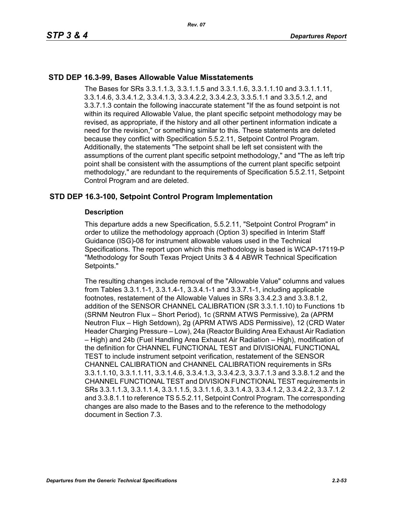## **STD DEP 16.3-99, Bases Allowable Value Misstatements**

The Bases for SRs 3.3.1.1.3, 3.3.1.1.5 and 3.3.1.1.6, 3.3.1.1.10 and 3.3.1.1.11, 3.3.1.4.6, 3.3.4.1.2, 3.3.4.1.3, 3.3.4.2.2, 3.3.4.2.3, 3.3.5.1.1 and 3.3.5.1.2, and 3.3.7.1.3 contain the following inaccurate statement "If the as found setpoint is not within its required Allowable Value, the plant specific setpoint methodology may be revised, as appropriate, if the history and all other pertinent information indicate a need for the revision," or something similar to this. These statements are deleted because they conflict with Specification 5.5.2.11, Setpoint Control Program. Additionally, the statements "The setpoint shall be left set consistent with the assumptions of the current plant specific setpoint methodology," and "The as left trip point shall be consistent with the assumptions of the current plant specific setpoint methodology," are redundant to the requirements of Specification 5.5.2.11, Setpoint Control Program and are deleted.

## **STD DEP 16.3-100, Setpoint Control Program Implementation**

#### **Description**

This departure adds a new Specification, 5.5.2.11, "Setpoint Control Program" in order to utilize the methodology approach (Option 3) specified in Interim Staff Guidance (ISG)-08 for instrument allowable values used in the Technical Specifications. The report upon which this methodology is based is WCAP-17119-P "Methodology for South Texas Project Units 3 & 4 ABWR Technical Specification Setpoints."

The resulting changes include removal of the "Allowable Value" columns and values from Tables 3.3.1.1-1, 3.3.1.4-1, 3.3.4.1-1 and 3.3.7.1-1, including applicable footnotes, restatement of the Allowable Values in SRs 3.3.4.2.3 and 3.3.8.1.2, addition of the SENSOR CHANNEL CALIBRATION (SR 3.3.1.1.10) to Functions 1b (SRNM Neutron Flux – Short Period), 1c (SRNM ATWS Permissive), 2a (APRM Neutron Flux – High Setdown), 2g (APRM ATWS ADS Permissive), 12 (CRD Water Header Charging Pressure – Low), 24a (Reactor Building Area Exhaust Air Radiation – High) and 24b (Fuel Handling Area Exhaust Air Radiation – High), modification of the definition for CHANNEL FUNCTIONAL TEST and DIVISIONAL FUNCTIONAL TEST to include instrument setpoint verification, restatement of the SENSOR CHANNEL CALIBRATION and CHANNEL CALIBRATION requirements in SRs 3.3.1.1.10, 3.3.1.1.11, 3.3.1.4.6, 3.3.4.1.3, 3.3.4.2.3, 3.3.7.1.3 and 3.3.8.1.2 and the CHANNEL FUNCTIONAL TEST and DIVISION FUNCTIONAL TEST requirements in SRs 3.3.1.1.3, 3.3.1.1.4, 3.3.1.1.5, 3.3.1.1.6, 3.3.1.4.3, 3.3.4.1.2, 3.3.4.2.2, 3.3.7.1.2 and 3.3.8.1.1 to reference TS 5.5.2.11, Setpoint Control Program. The corresponding changes are also made to the Bases and to the reference to the methodology document in Section 7.3.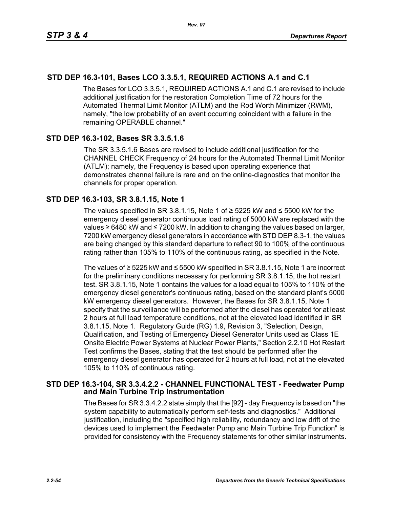# **STD DEP 16.3-101, Bases LCO 3.3.5.1, REQUIRED ACTIONS A.1 and C.1**

The Bases for LCO 3.3.5.1, REQUIRED ACTIONS A.1 and C.1 are revised to include additional justification for the restoration Completion Time of 72 hours for the Automated Thermal Limit Monitor (ATLM) and the Rod Worth Minimizer (RWM), namely, "the low probability of an event occurring coincident with a failure in the remaining OPERABLE channel."

## **STD DEP 16.3-102, Bases SR 3.3.5.1.6**

The SR 3.3.5.1.6 Bases are revised to include additional justification for the CHANNEL CHECK Frequency of 24 hours for the Automated Thermal Limit Monitor (ATLM); namely, the Frequency is based upon operating experience that demonstrates channel failure is rare and on the online-diagnostics that monitor the channels for proper operation.

## **STD DEP 16.3-103, SR 3.8.1.15, Note 1**

The values specified in SR 3.8.1.15, Note 1 of  $≥$  5225 kW and  $≤$  5500 kW for the emergency diesel generator continuous load rating of 5000 kW are replaced with the values ≥ 6480 kW and ≤ 7200 kW. In addition to changing the values based on larger, 7200 kW emergency diesel generators in accordance with STD DEP 8.3-1, the values are being changed by this standard departure to reflect 90 to 100% of the continuous rating rather than 105% to 110% of the continuous rating, as specified in the Note.

The values of ≥ 5225 kW and ≤ 5500 kW specified in SR 3.8.1.15, Note 1 are incorrect for the preliminary conditions necessary for performing SR 3.8.1.15, the hot restart test. SR 3.8.1.15, Note 1 contains the values for a load equal to 105% to 110% of the emergency diesel generator's continuous rating, based on the standard plant's 5000 kW emergency diesel generators. However, the Bases for SR 3.8.1.15, Note 1 specify that the surveillance will be performed after the diesel has operated for at least 2 hours at full load temperature conditions, not at the elevated load identified in SR 3.8.1.15, Note 1. Regulatory Guide (RG) 1.9, Revision 3, "Selection, Design, Qualification, and Testing of Emergency Diesel Generator Units used as Class 1E Onsite Electric Power Systems at Nuclear Power Plants," Section 2.2.10 Hot Restart Test confirms the Bases, stating that the test should be performed after the emergency diesel generator has operated for 2 hours at full load, not at the elevated 105% to 110% of continuous rating.

## **STD DEP 16.3-104, SR 3.3.4.2.2 - CHANNEL FUNCTIONAL TEST - Feedwater Pump and Main Turbine Trip Instrumentation**

The Bases for SR 3.3.4.2.2 state simply that the [92] - day Frequency is based on "the system capability to automatically perform self-tests and diagnostics." Additional justification, including the "specified high reliability, redundancy and low drift of the devices used to implement the Feedwater Pump and Main Turbine Trip Function" is provided for consistency with the Frequency statements for other similar instruments.